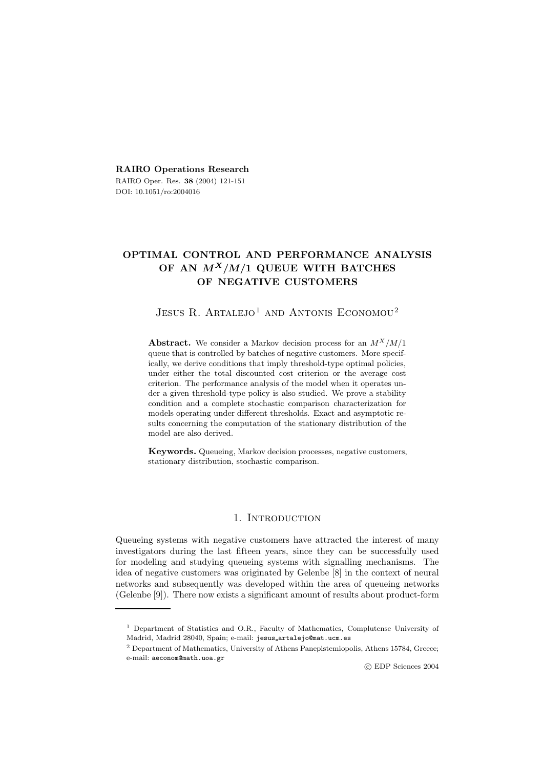**RAIRO Operations Research** RAIRO Oper. Res. **38** (2004) 121-151 DOI: 10.1051/ro:2004016

# **OPTIMAL CONTROL AND PERFORMANCE ANALYSIS OF AN** *MX/M/***1 QUEUE WITH BATCHES OF NEGATIVE CUSTOMERS**

# JESUS R. ARTALEJO<sup>1</sup> AND ANTONIS ECONOMOU<sup>2</sup>

**Abstract.** We consider a Markov decision process for an *M<sup>X</sup>/M/*1 queue that is controlled by batches of negative customers. More specifically, we derive conditions that imply threshold-type optimal policies, under either the total discounted cost criterion or the average cost criterion. The performance analysis of the model when it operates under a given threshold-type policy is also studied. We prove a stability condition and a complete stochastic comparison characterization for models operating under different thresholds. Exact and asymptotic results concerning the computation of the stationary distribution of the model are also derived.

**Keywords.** Queueing, Markov decision processes, negative customers, stationary distribution, stochastic comparison.

## 1. INTRODUCTION

Queueing systems with negative customers have attracted the interest of many investigators during the last fifteen years, since they can be successfully used for modeling and studying queueing systems with signalling mechanisms. The idea of negative customers was originated by Gelenbe [8] in the context of neural networks and subsequently was developed within the area of queueing networks (Gelenbe [9]). There now exists a significant amount of results about product-form

<sup>1</sup> Department of Statistics and O.R., Faculty of Mathematics, Complutense University of Madrid, Madrid 28040, Spain; e-mail: jesus artalejo@mat.ucm.es

<sup>2</sup> Department of Mathematics, University of Athens Panepistemiopolis, Athens 15784, Greece; e-mail: aeconom@math.uoa.gr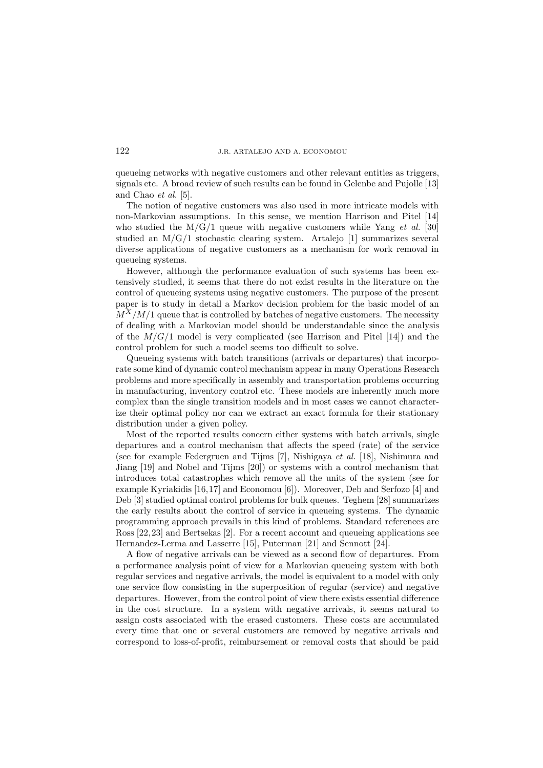queueing networks with negative customers and other relevant entities as triggers, signals etc. A broad review of such results can be found in Gelenbe and Pujolle [13] and Chao *et al.* [5].

The notion of negative customers was also used in more intricate models with non-Markovian assumptions. In this sense, we mention Harrison and Pitel [14] who studied the M/G/1 queue with negative customers while Yang *et al.* [30] studied an  $M/G/1$  stochastic clearing system. Artalejo [1] summarizes several diverse applications of negative customers as a mechanism for work removal in queueing systems.

However, although the performance evaluation of such systems has been extensively studied, it seems that there do not exist results in the literature on the control of queueing systems using negative customers. The purpose of the present paper is to study in detail a Markov decision problem for the basic model of an  $M^X/M/1$  queue that is controlled by batches of negative customers. The necessity of dealing with a Markovian model should be understandable since the analysis of the  $M/G/1$  model is very complicated (see Harrison and Pitel [14]) and the control problem for such a model seems too difficult to solve.

Queueing systems with batch transitions (arrivals or departures) that incorporate some kind of dynamic control mechanism appear in many Operations Research problems and more specifically in assembly and transportation problems occurring in manufacturing, inventory control etc. These models are inherently much more complex than the single transition models and in most cases we cannot characterize their optimal policy nor can we extract an exact formula for their stationary distribution under a given policy.

Most of the reported results concern either systems with batch arrivals, single departures and a control mechanism that affects the speed (rate) of the service (see for example Federgruen and Tijms [7], Nishigaya *et al.* [18], Nishimura and Jiang [19] and Nobel and Tijms [20]) or systems with a control mechanism that introduces total catastrophes which remove all the units of the system (see for example Kyriakidis [16,17] and Economou [6]). Moreover, Deb and Serfozo [4] and Deb [3] studied optimal control problems for bulk queues. Teghem [28] summarizes the early results about the control of service in queueing systems. The dynamic programming approach prevails in this kind of problems. Standard references are Ross [22,23] and Bertsekas [2]. For a recent account and queueing applications see Hernandez-Lerma and Lasserre [15], Puterman [21] and Sennott [24].

A flow of negative arrivals can be viewed as a second flow of departures. From a performance analysis point of view for a Markovian queueing system with both regular services and negative arrivals, the model is equivalent to a model with only one service flow consisting in the superposition of regular (service) and negative departures. However, from the control point of view there exists essential difference in the cost structure. In a system with negative arrivals, it seems natural to assign costs associated with the erased customers. These costs are accumulated every time that one or several customers are removed by negative arrivals and correspond to loss-of-profit, reimbursement or removal costs that should be paid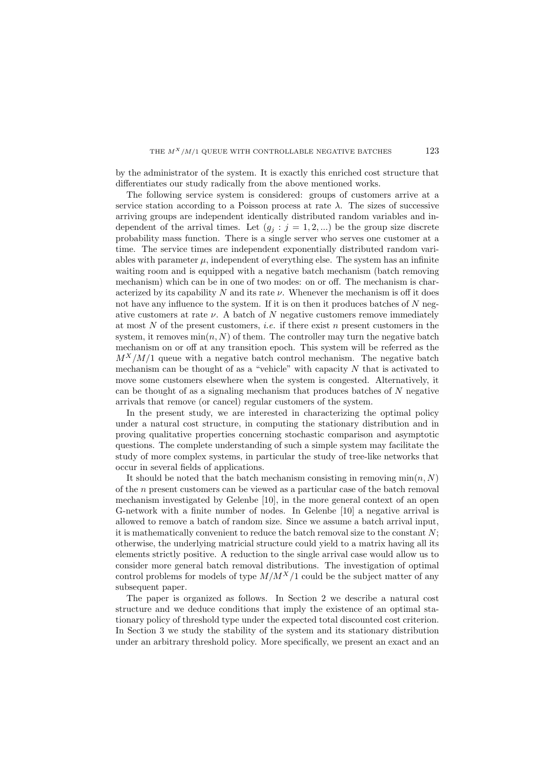by the administrator of the system. It is exactly this enriched cost structure that differentiates our study radically from the above mentioned works.

The following service system is considered: groups of customers arrive at a service station according to a Poisson process at rate  $\lambda$ . The sizes of successive arriving groups are independent identically distributed random variables and independent of the arrival times. Let  $(g_i : j = 1, 2, ...)$  be the group size discrete probability mass function. There is a single server who serves one customer at a time. The service times are independent exponentially distributed random variables with parameter  $\mu$ , independent of everything else. The system has an infinite waiting room and is equipped with a negative batch mechanism (batch removing mechanism) which can be in one of two modes: on or off. The mechanism is characterized by its capability  $N$  and its rate  $\nu$ . Whenever the mechanism is off it does not have any influence to the system. If it is on then it produces batches of  $N$  negative customers at rate  $\nu$ . A batch of N negative customers remove immediately at most N of the present customers, *i.e.* if there exist n present customers in the system, it removes  $\min(n, N)$  of them. The controller may turn the negative batch mechanism on or off at any transition epoch. This system will be referred as the  $M^X/M/1$  queue with a negative batch control mechanism. The negative batch mechanism can be thought of as a "vehicle" with capacity  $N$  that is activated to move some customers elsewhere when the system is congested. Alternatively, it can be thought of as a signaling mechanism that produces batches of  $N$  negative arrivals that remove (or cancel) regular customers of the system.

In the present study, we are interested in characterizing the optimal policy under a natural cost structure, in computing the stationary distribution and in proving qualitative properties concerning stochastic comparison and asymptotic questions. The complete understanding of such a simple system may facilitate the study of more complex systems, in particular the study of tree-like networks that occur in several fields of applications.

It should be noted that the batch mechanism consisting in removing  $\min(n, N)$ of the n present customers can be viewed as a particular case of the batch removal mechanism investigated by Gelenbe [10], in the more general context of an open G-network with a finite number of nodes. In Gelenbe [10] a negative arrival is allowed to remove a batch of random size. Since we assume a batch arrival input, it is mathematically convenient to reduce the batch removal size to the constant  $N$ ; otherwise, the underlying matricial structure could yield to a matrix having all its elements strictly positive. A reduction to the single arrival case would allow us to consider more general batch removal distributions. The investigation of optimal control problems for models of type  $M/M^X/1$  could be the subject matter of any subsequent paper.

The paper is organized as follows. In Section 2 we describe a natural cost structure and we deduce conditions that imply the existence of an optimal stationary policy of threshold type under the expected total discounted cost criterion. In Section 3 we study the stability of the system and its stationary distribution under an arbitrary threshold policy. More specifically, we present an exact and an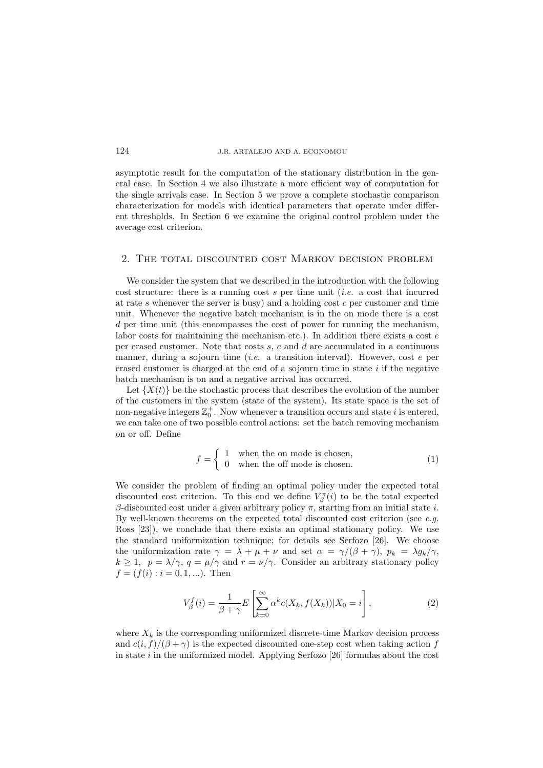asymptotic result for the computation of the stationary distribution in the general case. In Section 4 we also illustrate a more efficient way of computation for the single arrivals case. In Section 5 we prove a complete stochastic comparison characterization for models with identical parameters that operate under different thresholds. In Section 6 we examine the original control problem under the average cost criterion.

### 2. The total discounted cost Markov decision problem

We consider the system that we described in the introduction with the following cost structure: there is a running cost s per time unit (*i.e.* a cost that incurred at rate  $s$  whenever the server is busy) and a holding cost  $c$  per customer and time unit. Whenever the negative batch mechanism is in the on mode there is a cost d per time unit (this encompasses the cost of power for running the mechanism, labor costs for maintaining the mechanism etc.). In addition there exists a cost  $e$ per erased customer. Note that costs s, c and d are accumulated in a continuous manner, during a sojourn time (*i.e.* a transition interval). However, cost e per erased customer is charged at the end of a sojourn time in state  $i$  if the negative batch mechanism is on and a negative arrival has occurred.

Let  ${X(t)}$  be the stochastic process that describes the evolution of the number of the customers in the system (state of the system). Its state space is the set of non-negative integers  $\mathbb{Z}_0^+$ . Now whenever a transition occurs and state i is entered, we can take one of two possible control actions: set the batch removing mechanism on or off. Define

$$
f = \begin{cases} 1 & \text{when the on mode is chosen,} \\ 0 & \text{when the off mode is chosen.} \end{cases}
$$
 (1)

We consider the problem of finding an optimal policy under the expected total discounted cost criterion. To this end we define  $V_{\beta}^{\pi}(i)$  to be the total expected β-discounted cost under a given arbitrary policy π, starting from an initial state i. By well-known theorems on the expected total discounted cost criterion (see *e.g.* Ross [23]), we conclude that there exists an optimal stationary policy. We use the standard uniformization technique; for details see Serfozo [26]. We choose the uniformization rate  $\gamma = \lambda + \mu + \nu$  and set  $\alpha = \gamma/(\beta + \gamma)$ ,  $p_k = \lambda g_k/\gamma$ ,  $k \geq 1$ ,  $p = \lambda/\gamma$ ,  $q = \mu/\gamma$  and  $r = \nu/\gamma$ . Consider an arbitrary stationary policy  $f = (f(i) : i = 0, 1, ...)$ . Then

$$
V_{\beta}^{f}(i) = \frac{1}{\beta + \gamma} E\left[\sum_{k=0}^{\infty} \alpha^{k} c(X_{k}, f(X_{k})) | X_{0} = i\right],
$$
\n(2)

where  $X_k$  is the corresponding uniformized discrete-time Markov decision process and  $c(i, f)/(\beta + \gamma)$  is the expected discounted one-step cost when taking action f in state  $i$  in the uniformized model. Applying Serfozo [26] formulas about the cost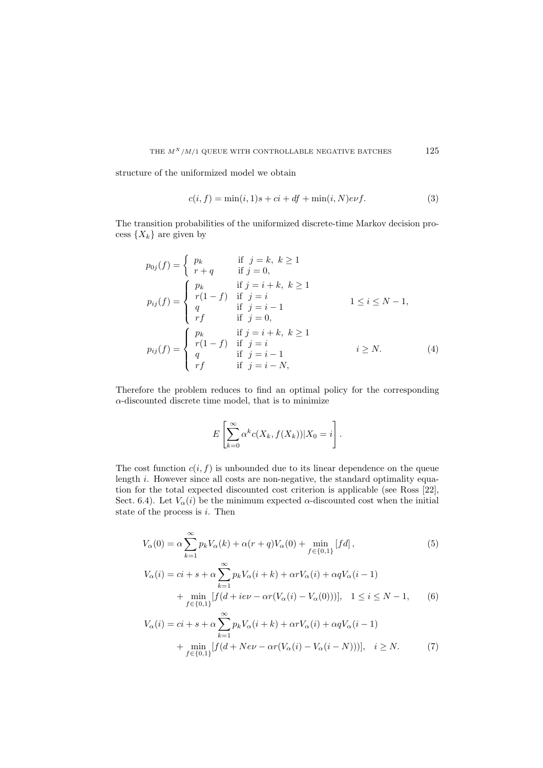structure of the uniformized model we obtain

$$
c(i, f) = \min(i, 1)s + ci + df + \min(i, N)e\nu f.
$$
\n(3)

The transition probabilities of the uniformized discrete-time Markov decision process  $\{X_k\}$  are given by

$$
p_{0j}(f) = \begin{cases} p_k & \text{if } j = k, \ k \ge 1 \\ r + q & \text{if } j = 0, \end{cases}
$$
  
\n
$$
p_{ij}(f) = \begin{cases} p_k & \text{if } j = i + k, \ k \ge 1 \\ r(1 - f) & \text{if } j = i \\ q & \text{if } j = i - 1 \\ rf & \text{if } j = 0, \end{cases}
$$
  
\n
$$
p_{ij}(f) = \begin{cases} p_k & \text{if } j = i + k, \ k \ge 1 \\ r(1 - f) & \text{if } j = i \\ q & \text{if } j = i - 1 \\ rf & \text{if } j = i - N, \end{cases}
$$
  
\n(4)

Therefore the problem reduces to find an optimal policy for the corresponding  $\alpha$ -discounted discrete time model, that is to minimize

$$
E\left[\sum_{k=0}^{\infty} \alpha^k c(X_k, f(X_k))|X_0 = i\right].
$$

The cost function  $c(i, f)$  is unbounded due to its linear dependence on the queue length *i*. However since all costs are non-negative, the standard optimality equation for the total expected discounted cost criterion is applicable (see Ross [22], Sect. 6.4). Let  $V_\alpha(i)$  be the minimum expected  $\alpha$ -discounted cost when the initial state of the process is  $i$ . Then

$$
V_{\alpha}(0) = \alpha \sum_{k=1}^{\infty} p_k V_{\alpha}(k) + \alpha (r + q) V_{\alpha}(0) + \min_{f \in \{0,1\}} [fd],
$$
\n
$$
V_{\alpha}(i) = ci + s + \alpha \sum_{k=1}^{\infty} p_k V_{\alpha}(i + k) + \alpha r V_{\alpha}(i) + \alpha q V_{\alpha}(i - 1)
$$
\n
$$
+ \min_{f \in \{0,1\}} [f(d + i e\nu - \alpha r (V_{\alpha}(i) - V_{\alpha}(0)))], \quad 1 \le i \le N - 1,
$$
\n(6)

$$
V_{\alpha}(i) = ci + s + \alpha \sum_{k=1}^{\infty} p_k V_{\alpha}(i+k) + \alpha r V_{\alpha}(i) + \alpha q V_{\alpha}(i-1) + \min_{f \in \{0,1\}} [f(d + Ne\nu - \alpha r(V_{\alpha}(i) - V_{\alpha}(i-N)))], \quad i \ge N.
$$
 (7)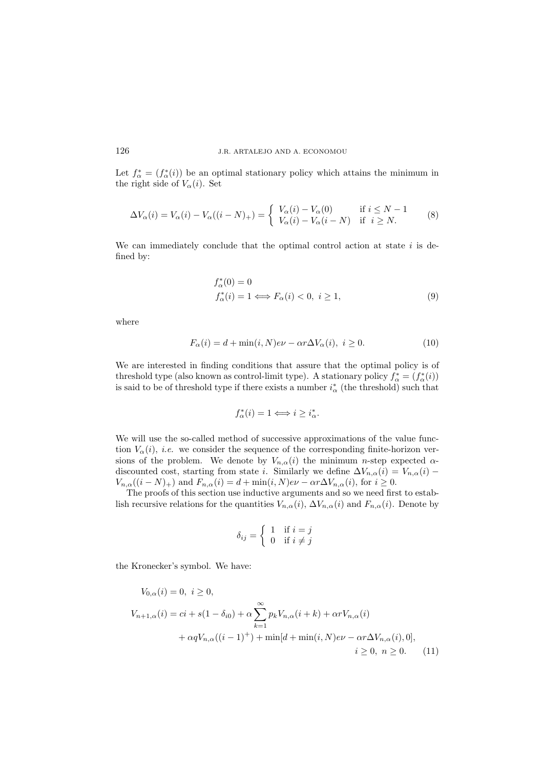Let  $f^*_{\alpha} = (f^*_{\alpha}(i))$  be an optimal stationary policy which attains the minimum in the right side of  $V_{\alpha}(i)$ . Set

$$
\Delta V_{\alpha}(i) = V_{\alpha}(i) - V_{\alpha}((i - N)_{+}) = \begin{cases} V_{\alpha}(i) - V_{\alpha}(0) & \text{if } i \le N - 1 \\ V_{\alpha}(i) - V_{\alpha}(i - N) & \text{if } i \ge N. \end{cases}
$$
 (8)

We can immediately conclude that the optimal control action at state  $i$  is defined by:

$$
f_{\alpha}^*(0) = 0
$$
  
\n
$$
f_{\alpha}^*(i) = 1 \Longleftrightarrow F_{\alpha}(i) < 0, \ i \ge 1,
$$
\n(9)

where

$$
F_{\alpha}(i) = d + \min(i, N)e\nu - \alpha r \Delta V_{\alpha}(i), \ i \ge 0. \tag{10}
$$

We are interested in finding conditions that assure that the optimal policy is of threshold type (also known as control-limit type). A stationary policy  $f^*_\alpha = (f^*_\alpha(i))$ is said to be of threshold type if there exists a number  $i^*_{\alpha}$  (the threshold) such that

$$
f^*_{\alpha}(i) = 1 \Longleftrightarrow i \ge i^*_{\alpha}.
$$

We will use the so-called method of successive approximations of the value function  $V_{\alpha}(i)$ , *i.e.* we consider the sequence of the corresponding finite-horizon versions of the problem. We denote by  $V_{n,\alpha}(i)$  the minimum n-step expected  $\alpha$ discounted cost, starting from state i. Similarly we define  $\Delta V_{n,\alpha}(i) = V_{n,\alpha}(i)$  –  $V_{n,\alpha}((i-N)_+)$  and  $F_{n,\alpha}(i) = d + \min(i,N)e\nu - \alpha r \Delta V_{n,\alpha}(i)$ , for  $i \geq 0$ .

The proofs of this section use inductive arguments and so we need first to establish recursive relations for the quantities  $V_{n,\alpha}(i)$ ,  $\Delta V_{n,\alpha}(i)$  and  $F_{n,\alpha}(i)$ . Denote by

$$
\delta_{ij} = \begin{cases} 1 & \text{if } i = j \\ 0 & \text{if } i \neq j \end{cases}
$$

the Kronecker's symbol. We have:

$$
V_{0,\alpha}(i) = 0, \ i \ge 0,
$$
  
\n
$$
V_{n+1,\alpha}(i) = ci + s(1 - \delta_{i0}) + \alpha \sum_{k=1}^{\infty} p_k V_{n,\alpha}(i+k) + \alpha r V_{n,\alpha}(i)
$$
  
\n
$$
+ \alpha q V_{n,\alpha}((i-1)^+) + \min[d + \min(i, N)e\nu - \alpha r \Delta V_{n,\alpha}(i), 0],
$$
  
\n
$$
i \ge 0, \ n \ge 0.
$$
 (11)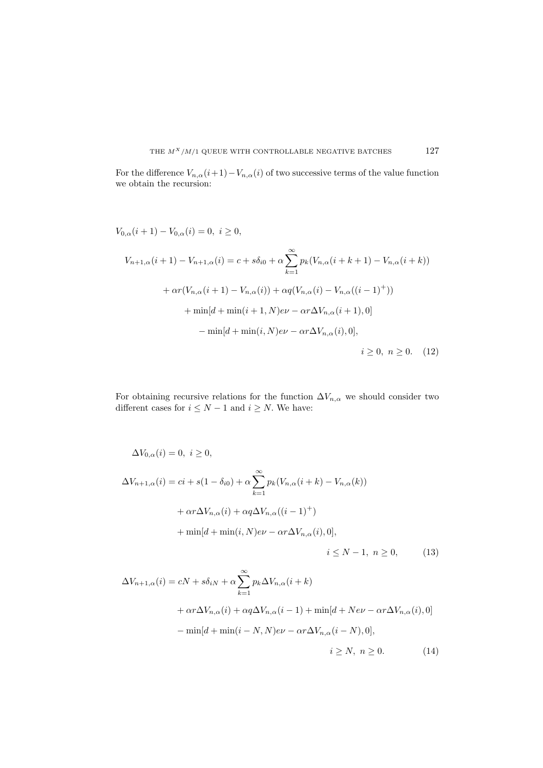For the difference  $V_{n,\alpha}(i+1)-V_{n,\alpha}(i)$  of two successive terms of the value function we obtain the recursion:

$$
V_{0,\alpha}(i+1) - V_{0,\alpha}(i) = 0, \ i \ge 0,
$$
  
\n
$$
V_{n+1,\alpha}(i+1) - V_{n+1,\alpha}(i) = c + s\delta_{i0} + \alpha \sum_{k=1}^{\infty} p_k (V_{n,\alpha}(i+k+1) - V_{n,\alpha}(i+k))
$$
  
\n
$$
+ \alpha r (V_{n,\alpha}(i+1) - V_{n,\alpha}(i)) + \alpha q (V_{n,\alpha}(i) - V_{n,\alpha}((i-1)^+))
$$
  
\n
$$
+ \min[d + \min(i+1, N)e\nu - \alpha r \Delta V_{n,\alpha}(i+1), 0]
$$
  
\n
$$
- \min[d + \min(i, N)e\nu - \alpha r \Delta V_{n,\alpha}(i), 0],
$$
  
\n
$$
i \ge 0, \ n \ge 0.
$$
 (12)

For obtaining recursive relations for the function  $\Delta V_{n,\alpha}$  we should consider two different cases for  $i \leq N-1$  and  $i \geq N$ . We have:

$$
\Delta V_{0,\alpha}(i) = 0, \ i \ge 0,
$$
  
\n
$$
\Delta V_{n+1,\alpha}(i) = ci + s(1 - \delta_{i0}) + \alpha \sum_{k=1}^{\infty} p_k (V_{n,\alpha}(i+k) - V_{n,\alpha}(k))
$$
  
\n
$$
+ \alpha r \Delta V_{n,\alpha}(i) + \alpha q \Delta V_{n,\alpha}((i-1)^+) + \min[d + \min(i, N)e\nu - \alpha r \Delta V_{n,\alpha}(i), 0],
$$
  
\n
$$
i \le N - 1, \ n \ge 0,
$$
\n(13)

$$
\Delta V_{n+1,\alpha}(i) = cN + s\delta_{iN} + \alpha \sum_{k=1}^{\infty} p_k \Delta V_{n,\alpha}(i+k)
$$
  
+  $\alpha r \Delta V_{n,\alpha}(i) + \alpha q \Delta V_{n,\alpha}(i-1) + \min[d + Ne\nu - \alpha r \Delta V_{n,\alpha}(i), 0]$   
-  $\min[d + \min(i - N, N)e\nu - \alpha r \Delta V_{n,\alpha}(i - N), 0],$ 

$$
i \ge N, \ n \ge 0. \tag{14}
$$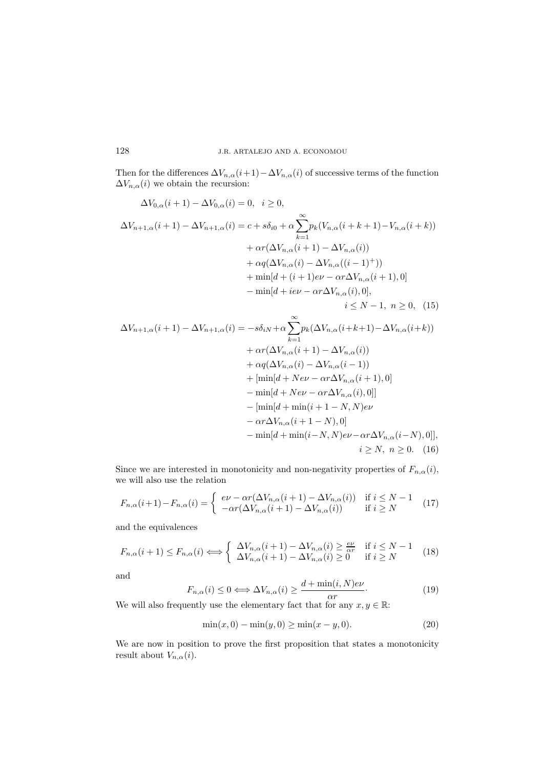Then for the differences  $\Delta V_{n,\alpha}(i+1)-\Delta V_{n,\alpha}(i)$  of successive terms of the function  $\Delta V_{n,\alpha}(i)$  we obtain the recursion:

$$
\Delta V_{0,\alpha}(i+1) - \Delta V_{0,\alpha}(i) = 0, \quad i \ge 0,
$$
  
\n
$$
\Delta V_{n+1,\alpha}(i+1) - \Delta V_{n+1,\alpha}(i) = c + s\delta_{i0} + \alpha \sum_{k=1}^{\infty} p_k (V_{n,\alpha}(i+k+1) - V_{n,\alpha}(i+k))
$$
  
\n
$$
+ \alpha r (\Delta V_{n,\alpha}(i+1) - \Delta V_{n,\alpha}(i))
$$
  
\n
$$
+ \alpha q (\Delta V_{n,\alpha}(i) - \Delta V_{n,\alpha}((i-1)^{+}))
$$
  
\n
$$
+ \min[d + (i+1)e\nu - \alpha r \Delta V_{n,\alpha}(i), 0],
$$
  
\n
$$
i \le N - 1, \quad n \ge 0, \quad (15)
$$

$$
\Delta V_{n+1,\alpha}(i+1) - \Delta V_{n+1,\alpha}(i) = -s\delta_{iN} + \alpha \sum_{k=1}^{\infty} p_k(\Delta V_{n,\alpha}(i+k+1) - \Delta V_{n,\alpha}(i+k))
$$
  
+  $\alpha r(\Delta V_{n,\alpha}(i+1) - \Delta V_{n,\alpha}(i))$   
+  $\alpha q(\Delta V_{n,\alpha}(i) - \Delta V_{n,\alpha}(i-1))$   
+  $[\min[d + N e\nu - \alpha r \Delta V_{n,\alpha}(i+1), 0]$   
-  $\min[d + N e\nu - \alpha r \Delta V_{n,\alpha}(i), 0]]$   
-  $[\min[d + \min(i+1-N, N)e\nu$   
-  $\alpha r \Delta V_{n,\alpha}(i+1-N), 0]$   
-  $\min[d + \min(i-N, N)e\nu - \alpha r \Delta V_{n,\alpha}(i-N), 0]],$   
 $i \ge N, n \ge 0.$  (16)

Since we are interested in monotonicity and non-negativity properties of  $F_{n,\alpha}(i)$ , we will also use the relation

$$
F_{n,\alpha}(i+1) - F_{n,\alpha}(i) = \begin{cases} e\nu - \alpha r(\Delta V_{n,\alpha}(i+1) - \Delta V_{n,\alpha}(i)) & \text{if } i \le N - 1\\ -\alpha r(\Delta V_{n,\alpha}(i+1) - \Delta V_{n,\alpha}(i)) & \text{if } i \ge N \end{cases}
$$
(17)

and the equivalences

$$
F_{n,\alpha}(i+1) \le F_{n,\alpha}(i) \Longleftrightarrow \begin{cases} \Delta V_{n,\alpha}(i+1) - \Delta V_{n,\alpha}(i) \ge \frac{e\nu}{\alpha r} & \text{if } i \le N-1\\ \Delta V_{n,\alpha}(i+1) - \Delta V_{n,\alpha}(i) \ge 0 & \text{if } i \ge N \end{cases}
$$
(18)

and

$$
F_{n,\alpha}(i) \le 0 \Longleftrightarrow \Delta V_{n,\alpha}(i) \ge \frac{d + \min(i, N)e\nu}{\alpha r}.
$$
\n(19)

We will also frequently use the elementary fact that for any  $x, y \in \mathbb{R}$ :

$$
\min(x, 0) - \min(y, 0) \ge \min(x - y, 0). \tag{20}
$$

We are now in position to prove the first proposition that states a monotonicity result about  $V_{n,\alpha}(i)$ .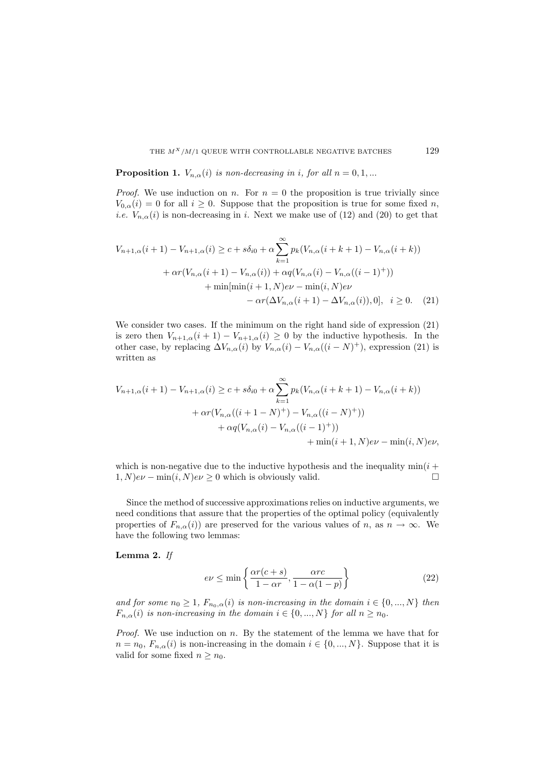**Proposition 1.**  $V_{n,\alpha}(i)$  *is non-decreasing in i, for all*  $n = 0,1,...$ 

*Proof.* We use induction on n. For  $n = 0$  the proposition is true trivially since  $V_{0,\alpha}(i) = 0$  for all  $i \geq 0$ . Suppose that the proposition is true for some fixed n, *i.e.*  $V_{n,\alpha}(i)$  is non-decreasing in *i*. Next we make use of (12) and (20) to get that

$$
V_{n+1,\alpha}(i+1) - V_{n+1,\alpha}(i) \ge c + s\delta_{i0} + \alpha \sum_{k=1}^{\infty} p_k (V_{n,\alpha}(i+k+1) - V_{n,\alpha}(i+k))
$$
  
+  $\alpha r (V_{n,\alpha}(i+1) - V_{n,\alpha}(i)) + \alpha q (V_{n,\alpha}(i) - V_{n,\alpha}((i-1)^+))$   
+  $\min[\min(i+1,N)e\nu - \min(i,N)e\nu$   
-  $\alpha r (\Delta V_{n,\alpha}(i+1) - \Delta V_{n,\alpha}(i)), 0], i \ge 0.$  (21)

We consider two cases. If the minimum on the right hand side of expression (21) is zero then  $V_{n+1,\alpha}(i+1) - V_{n+1,\alpha}(i) \geq 0$  by the inductive hypothesis. In the other case, by replacing  $\Delta V_{n,\alpha}(i)$  by  $V_{n,\alpha}(i) - V_{n,\alpha}((i-N)^+),$  expression (21) is written as

$$
V_{n+1,\alpha}(i+1) - V_{n+1,\alpha}(i) \ge c + s\delta_{i0} + \alpha \sum_{k=1}^{\infty} p_k (V_{n,\alpha}(i+k+1) - V_{n,\alpha}(i+k))
$$
  
+  $\alpha r (V_{n,\alpha}((i+1-N)^+) - V_{n,\alpha}((i-N)^+))$   
+  $\alpha q (V_{n,\alpha}(i) - V_{n,\alpha}((i-1)^+))$   
+  $\min(i+1,N)e\nu - \min(i,N)e\nu,$ 

which is non-negative due to the inductive hypothesis and the inequality  $min(i +$  $1, N$ ) $e\nu$  – min $(i, N)e\nu \geq 0$  which is obviously valid.

Since the method of successive approximations relies on inductive arguments, we need conditions that assure that the properties of the optimal policy (equivalently properties of  $F_{n,\alpha}(i)$  are preserved for the various values of n, as  $n \to \infty$ . We have the following two lemmas:

**Lemma 2.** *If*

$$
e\nu \le \min\left\{\frac{\alpha r(c+s)}{1-\alpha r}, \frac{\alpha rc}{1-\alpha(1-p)}\right\} \tag{22}
$$

*and for some*  $n_0 \geq 1$ ,  $F_{n_0,\alpha}(i)$  *is non-increasing in the domain*  $i \in \{0, ..., N\}$  *then*  $F_{n,\alpha}(i)$  *is non-increasing in the domain*  $i \in \{0, ..., N\}$  *for all*  $n \geq n_0$ .

*Proof.* We use induction on n. By the statement of the lemma we have that for  $n = n_0, F_{n,\alpha}(i)$  is non-increasing in the domain  $i \in \{0, ..., N\}$ . Suppose that it is valid for some fixed  $n \geq n_0$ .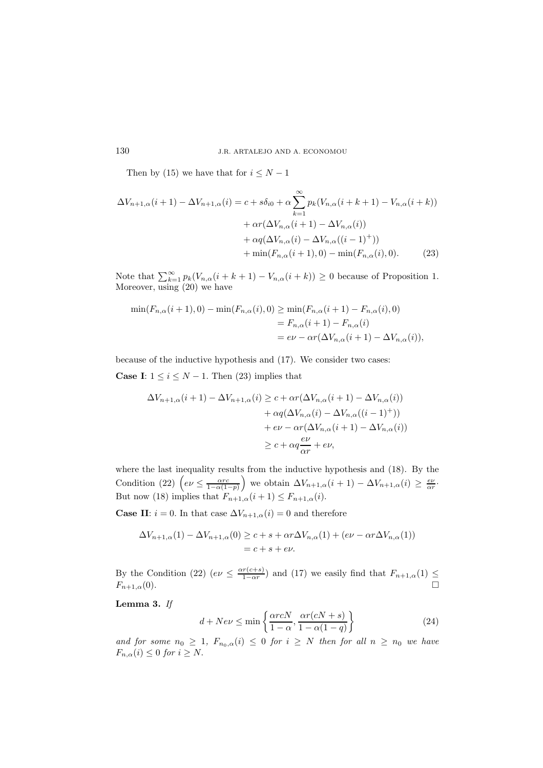Then by (15) we have that for  $i \leq N-1$ 

$$
\Delta V_{n+1,\alpha}(i+1) - \Delta V_{n+1,\alpha}(i) = c + s\delta_{i0} + \alpha \sum_{k=1}^{\infty} p_k (V_{n,\alpha}(i+k+1) - V_{n,\alpha}(i+k)) \n+ \alpha r (\Delta V_{n,\alpha}(i+1) - \Delta V_{n,\alpha}(i)) \n+ \alpha q (\Delta V_{n,\alpha}(i) - \Delta V_{n,\alpha}((i-1)^+)) \n+ \min(F_{n,\alpha}(i+1), 0) - \min(F_{n,\alpha}(i), 0).
$$
\n(23)

Note that  $\sum_{k=1}^{\infty} p_k(V_{n,\alpha}(i + k + 1) - V_{n,\alpha}(i + k)) \ge 0$  because of Proposition 1. Moreover, using (20) we have

$$
\min(F_{n,\alpha}(i+1),0) - \min(F_{n,\alpha}(i),0) \ge \min(F_{n,\alpha}(i+1) - F_{n,\alpha}(i),0)
$$
  
=  $F_{n,\alpha}(i+1) - F_{n,\alpha}(i)$   
=  $e\nu - \alpha r(\Delta V_{n,\alpha}(i+1) - \Delta V_{n,\alpha}(i)),$ 

because of the inductive hypothesis and (17). We consider two cases: **Case I**:  $1 \leq i \leq N - 1$ . Then (23) implies that

$$
\Delta V_{n+1,\alpha}(i+1) - \Delta V_{n+1,\alpha}(i) \ge c + \alpha r(\Delta V_{n,\alpha}(i+1) - \Delta V_{n,\alpha}(i)) + \alpha q(\Delta V_{n,\alpha}(i) - \Delta V_{n,\alpha}((i-1)^+)) + e\nu - \alpha r(\Delta V_{n,\alpha}(i+1) - \Delta V_{n,\alpha}(i)) \ge c + \alpha q \frac{e\nu}{\alpha r} + e\nu,
$$

where the last inequality results from the inductive hypothesis and (18). By the Condition (22)  $\left(e\nu \leq \frac{\alpha r}{1-\alpha(1-p)}\right)$  we obtain  $\Delta V_{n+1,\alpha}(i+1) - \Delta V_{n+1,\alpha}(i) \geq \frac{e\nu}{\alpha r}$ . But now (18) implies that  $F_{n+1,\alpha}(i+1) \leq F_{n+1,\alpha}(i)$ .

**Case II:**  $i = 0$ . In that case  $\Delta V_{n+1,\alpha}(i) = 0$  and therefore

$$
\Delta V_{n+1,\alpha}(1) - \Delta V_{n+1,\alpha}(0) \ge c + s + \alpha r \Delta V_{n,\alpha}(1) + (e\nu - \alpha r \Delta V_{n,\alpha}(1))
$$
  
= c + s + e\nu.

By the Condition (22)  $(e\nu \leq \frac{\alpha r(c+s)}{1-\alpha r})$  and (17) we easily find that  $F_{n+1,\alpha}(1) \leq$  $F_{n+1,\alpha}(0)$ .

**Lemma 3.** *If*

$$
d + Ne\nu \le \min\left\{\frac{\alpha r c N}{1 - \alpha}, \frac{\alpha r (c N + s)}{1 - \alpha (1 - q)}\right\} \tag{24}
$$

and for some  $n_0 \geq 1$ ,  $F_{n_0,\alpha}(i) \leq 0$  for  $i \geq N$  then for all  $n \geq n_0$  we have  $F_{n,\alpha}(i) \leq 0$  for  $i \geq N$ .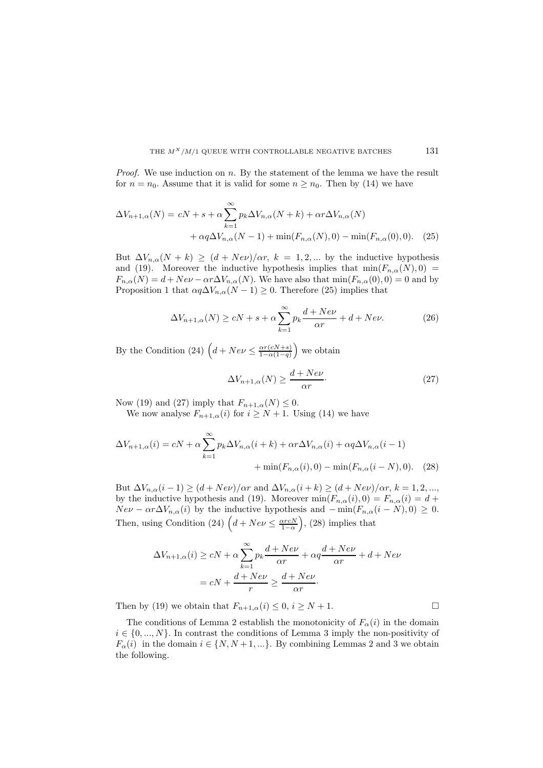*Proof.* We use induction on n. By the statement of the lemma we have the result for  $n = n_0$ . Assume that it is valid for some  $n \geq n_0$ . Then by (14) we have

$$
\Delta V_{n+1,\alpha}(N) = cN + s + \alpha \sum_{k=1}^{\infty} p_k \Delta V_{n,\alpha}(N+k) + \alpha r \Delta V_{n,\alpha}(N)
$$

$$
+ \alpha q \Delta V_{n,\alpha}(N-1) + \min(F_{n,\alpha}(N),0) - \min(F_{n,\alpha}(0),0). \quad (25)
$$

But  $\Delta V_{n,\alpha}(N+k) \ge (d + N e \nu)/\alpha r$ ,  $k = 1, 2, ...$  by the inductive hypothesis and (19). Moreover the inductive hypothesis implies that  $min(F_{n,\alpha}(N), 0)$  $F_{n,\alpha}(N) = d + Ne\nu - \alpha r \Delta V_{n,\alpha}(N)$ . We have also that  $\min(F_{n,\alpha}(0),0) = 0$  and by Proposition 1 that  $\alpha q \Delta V_{n,\alpha}(N-1) \geq 0$ . Therefore (25) implies that

$$
\Delta V_{n+1,\alpha}(N) \ge cN + s + \alpha \sum_{k=1}^{\infty} p_k \frac{d + Ne\nu}{\alpha r} + d + Ne\nu.
$$
 (26)

By the Condition (24)  $\left(d + Neu \leq \frac{\alpha r(cN+s)}{1-\alpha(1-q)}\right)$  we obtain

$$
\Delta V_{n+1,\alpha}(N) \ge \frac{d + Ne\nu}{\alpha r}.\tag{27}
$$

Now (19) and (27) imply that  $F_{n+1,\alpha}(N) \leq 0$ .

We now analyse  $F_{n+1,\alpha}(i)$  for  $i \geq N+1$ . Using (14) we have

$$
\Delta V_{n+1,\alpha}(i) = cN + \alpha \sum_{k=1}^{\infty} p_k \Delta V_{n,\alpha}(i+k) + \alpha r \Delta V_{n,\alpha}(i) + \alpha q \Delta V_{n,\alpha}(i-1) + \min(F_{n,\alpha}(i),0) - \min(F_{n,\alpha}(i-N),0). \quad (28)
$$

But  $\Delta V_{n,\alpha}(i-1) \geq (d + N e \nu)/\alpha r$  and  $\Delta V_{n,\alpha}(i+k) \geq (d + N e \nu)/\alpha r$ ,  $k = 1, 2, ...,$ by the inductive hypothesis and (19). Moreover  $min(F_{n,\alpha}(i), 0) = F_{n,\alpha}(i) = d +$  $Nev - \alpha r \Delta V_{n,\alpha}(i)$  by the inductive hypothesis and  $-\min(F_{n,\alpha}(i-N),0) \geq 0$ . Then, using Condition (24)  $\left(d + Ne\nu \leq \frac{\alpha r cN}{1-\alpha}\right)$ , (28) implies that

$$
\Delta V_{n+1,\alpha}(i) \ge cN + \alpha \sum_{k=1}^{\infty} p_k \frac{d + Ne\nu}{\alpha r} + \alpha q \frac{d + Ne\nu}{\alpha r} + d + Ne\nu
$$

$$
= cN + \frac{d + Ne\nu}{r} \ge \frac{d + Ne\nu}{\alpha r}.
$$

Then by (19) we obtain that  $F_{n+1,\alpha}(i) \leq 0, i \geq N+1$ .

The conditions of Lemma 2 establish the monotonicity of  $F_{\alpha}(i)$  in the domain  $i \in \{0, ..., N\}$ . In contrast the conditions of Lemma 3 imply the non-positivity of  $F_{\alpha}(i)$  in the domain  $i \in \{N, N+1, ...\}$ . By combining Lemmas 2 and 3 we obtain the following.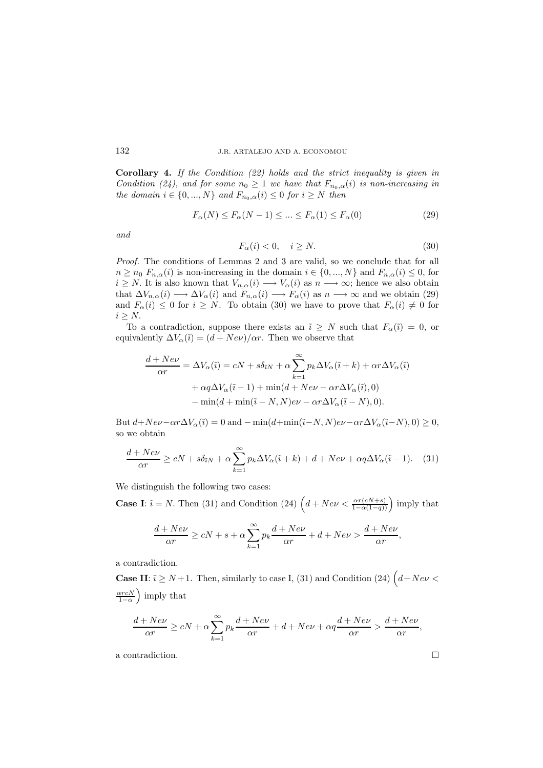**Corollary 4.** *If the Condition (22) holds and the strict inequality is given in Condition (24), and for some*  $n_0 \geq 1$  *we have that*  $F_{n_0,\alpha}(i)$  *is non-increasing in the domain*  $i \in \{0, ..., N\}$  *and*  $F_{n_0,\alpha}(i) \leq 0$  *for*  $i \geq N$  *then* 

$$
F_{\alpha}(N) \le F_{\alpha}(N-1) \le \dots \le F_{\alpha}(1) \le F_{\alpha}(0) \tag{29}
$$

*and*

$$
F_{\alpha}(i) < 0, \quad i \ge N. \tag{30}
$$

*Proof.* The conditions of Lemmas 2 and 3 are valid, so we conclude that for all  $n \geq n_0$   $F_{n,\alpha}(i)$  is non-increasing in the domain  $i \in \{0, ..., N\}$  and  $F_{n,\alpha}(i) \leq 0$ , for  $i \geq N$ . It is also known that  $V_{n,\alpha}(i) \longrightarrow V_{\alpha}(i)$  as  $n \longrightarrow \infty$ ; hence we also obtain that  $\Delta V_{n,\alpha}(i) \longrightarrow \Delta V_{\alpha}(i)$  and  $F_{n,\alpha}(i) \longrightarrow F_{\alpha}(i)$  as  $n \longrightarrow \infty$  and we obtain (29) and  $F_{\alpha}(i) \leq 0$  for  $i \geq N$ . To obtain (30) we have to prove that  $F_{\alpha}(i) \neq 0$  for  $i > N$ .

To a contradiction, suppose there exists an  $\tilde{i} \geq N$  such that  $F_{\alpha}(\tilde{i}) = 0$ , or equivalently  $\Delta V_{\alpha}(\tilde{i})=(d+Ne\nu)/\alpha r$ . Then we observe that

$$
\frac{d + Ne\nu}{\alpha r} = \Delta V_{\alpha}(\tilde{\imath}) = cN + s\delta_{iN} + \alpha \sum_{k=1}^{\infty} p_k \Delta V_{\alpha}(\tilde{\imath} + k) + \alpha r \Delta V_{\alpha}(\tilde{\imath})
$$

$$
+ \alpha q \Delta V_{\alpha}(\tilde{\imath} - 1) + \min(d + Ne\nu - \alpha r \Delta V_{\alpha}(\tilde{\imath}), 0)
$$

$$
- \min(d + \min(\tilde{\imath} - N, N)e\nu - \alpha r \Delta V_{\alpha}(\tilde{\imath} - N), 0).
$$

But  $d+Ne\nu-\alpha r\Delta V_{\alpha}(\tilde{i})=0$  and  $-\min(d+\min(\tilde{i}-N,N)e\nu-\alpha r\Delta V_{\alpha}(\tilde{i}-N),0)\geq 0$ , so we obtain

$$
\frac{d + Ne\nu}{\alpha r} \ge cN + s\delta_{iN} + \alpha \sum_{k=1}^{\infty} p_k \Delta V_{\alpha}(\tilde{i} + k) + d + Ne\nu + \alpha q \Delta V_{\alpha}(\tilde{i} - 1). \tag{31}
$$

We distinguish the following two cases:

**Case I**:  $\tilde{i} = N$ . Then (31) and Condition (24)  $\left(d + Ne\nu < \frac{\alpha r(cN+s)}{1-\alpha(1-q)}\right)$  imply that

$$
\frac{d + Ne\nu}{\alpha r} \ge cN + s + \alpha \sum_{k=1}^{\infty} p_k \frac{d + Ne\nu}{\alpha r} + d + Ne\nu > \frac{d + Ne\nu}{\alpha r},
$$

a contradiction.

**Case II:**  $\tilde{i} \ge N+1$ . Then, similarly to case I, (31) and Condition (24)  $(d+Ne\nu <$  $\frac{\alpha r c N}{1-\alpha}$  imply that

$$
\frac{d + Ne\nu}{\alpha r} \ge cN + \alpha \sum_{k=1}^{\infty} p_k \frac{d + Ne\nu}{\alpha r} + d + Ne\nu + \alpha q \frac{d + Ne\nu}{\alpha r} > \frac{d + Ne\nu}{\alpha r},
$$

a contradiction.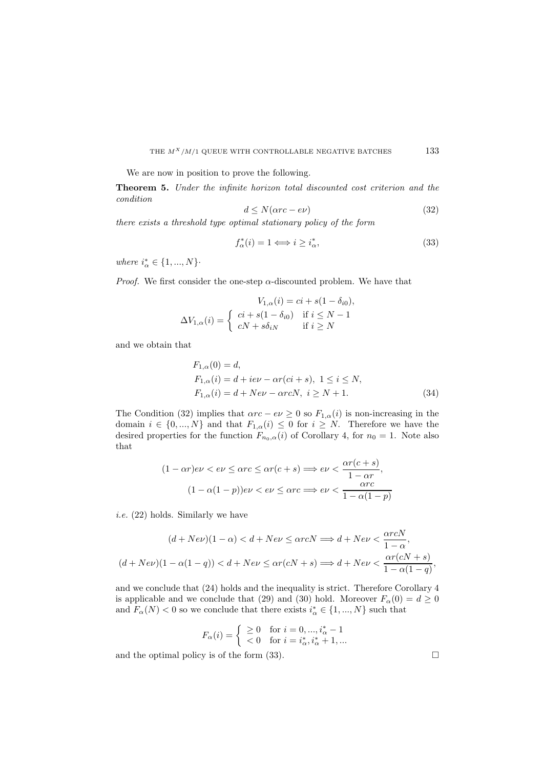We are now in position to prove the following.

**Theorem 5.** *Under the infinite horizon total discounted cost criterion and the condition*

$$
d \le N(\alpha rc - e\nu) \tag{32}
$$

*there exists a threshold type optimal stationary policy of the form*

$$
f_{\alpha}^*(i) = 1 \Longleftrightarrow i \ge i_{\alpha}^*,\tag{33}
$$

where  $i^*_\alpha \in \{1,...,N\}$ 

*Proof.* We first consider the one-step  $\alpha$ -discounted problem. We have that

$$
V_{1,\alpha}(i) = ci + s(1 - \delta_{i0}),
$$
  
\n
$$
\Delta V_{1,\alpha}(i) = \begin{cases} ci + s(1 - \delta_{i0}) & \text{if } i \le N - 1 \\ cN + s\delta_{iN} & \text{if } i \ge N \end{cases}
$$

and we obtain that

$$
F_{1,\alpha}(0) = d,
$$
  
\n
$$
F_{1,\alpha}(i) = d + i e \nu - \alpha r (ci + s), \ 1 \le i \le N,
$$
  
\n
$$
F_{1,\alpha}(i) = d + N e \nu - \alpha r c N, \ i \ge N + 1.
$$
\n(34)

The Condition (32) implies that  $\alpha rc - ev \geq 0$  so  $F_{1,\alpha}(i)$  is non-increasing in the domain  $i \in \{0, ..., N\}$  and that  $F_{1,\alpha}(i) \leq 0$  for  $i \geq N$ . Therefore we have the desired properties for the function  $F_{n_0,\alpha}(i)$  of Corollary 4, for  $n_0 = 1$ . Note also that

$$
(1 - \alpha r)e\nu < e\nu \le \alpha rc \le \alpha r(c + s) \Longrightarrow e\nu < \frac{\alpha r(c + s)}{1 - \alpha r},
$$

$$
(1 - \alpha(1 - p))e\nu < e\nu \le \alpha rc \Longrightarrow e\nu < \frac{\alpha rc}{1 - \alpha(1 - p)}
$$

*i.e.* (22) holds. Similarly we have

$$
(d + Ne\nu)(1 - \alpha) < d + Ne\nu \leq \alpha rcN \implies d + Ne\nu < \frac{\alpha rcN}{1 - \alpha},
$$
\n
$$
(d + Ne\nu)(1 - \alpha(1 - q)) < d + Ne\nu \leq \alpha r(cN + s) \implies d + Ne\nu < \frac{\alpha r(cN + s)}{1 - \alpha(1 - q)},
$$

and we conclude that (24) holds and the inequality is strict. Therefore Corollary 4 is applicable and we conclude that (29) and (30) hold. Moreover  $F_{\alpha}(0) = d \ge 0$ and  $F_{\alpha}(N) < 0$  so we conclude that there exists  $i_{\alpha}^* \in \{1, ..., N\}$  such that

$$
F_{\alpha}(i) = \begin{cases} \geq 0 & \text{for } i = 0, ..., i_{\alpha}^{*} - 1 \\ < 0 & \text{for } i = i_{\alpha}^{*}, i_{\alpha}^{*} + 1, ... \end{cases}
$$

and the optimal policy is of the form  $(33)$ .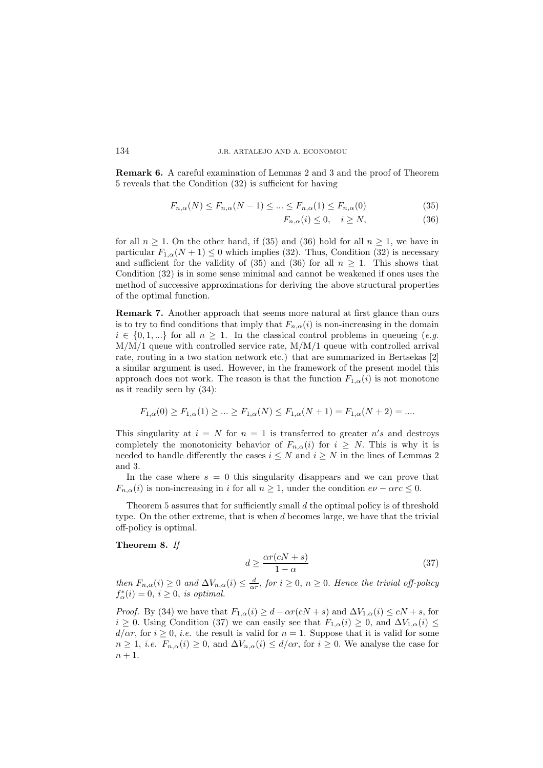**Remark 6.** A careful examination of Lemmas 2 and 3 and the proof of Theorem 5 reveals that the Condition (32) is sufficient for having

$$
F_{n,\alpha}(N) \le F_{n,\alpha}(N-1) \le \dots \le F_{n,\alpha}(1) \le F_{n,\alpha}(0)
$$
\n(35)

$$
F_{n,\alpha}(i) \le 0, \quad i \ge N,\tag{36}
$$

for all  $n \geq 1$ . On the other hand, if (35) and (36) hold for all  $n \geq 1$ , we have in particular  $F_{1,\alpha}(N+1) \leq 0$  which implies (32). Thus, Condition (32) is necessary and sufficient for the validity of (35) and (36) for all  $n \geq 1$ . This shows that Condition (32) is in some sense minimal and cannot be weakened if ones uses the method of successive approximations for deriving the above structural properties of the optimal function.

**Remark 7.** Another approach that seems more natural at first glance than ours is to try to find conditions that imply that  $F_{n,\alpha}(i)$  is non-increasing in the domain  $i \in \{0, 1, ...\}$  for all  $n \geq 1$ . In the classical control problems in queueing (*e.g.*)  $M/M/1$  queue with controlled service rate,  $M/M/1$  queue with controlled arrival rate, routing in a two station network etc.) that are summarized in Bertsekas [2] a similar argument is used. However, in the framework of the present model this approach does not work. The reason is that the function  $F_{1,\alpha}(i)$  is not monotone as it readily seen by (34):

$$
F_{1,\alpha}(0) \ge F_{1,\alpha}(1) \ge \dots \ge F_{1,\alpha}(N) \le F_{1,\alpha}(N+1) = F_{1,\alpha}(N+2) = \dots
$$

This singularity at  $i = N$  for  $n = 1$  is transferred to greater  $n's$  and destroys completely the monotonicity behavior of  $F_{n,q}(i)$  for  $i > N$ . This is why it is needed to handle differently the cases  $i \leq N$  and  $i \geq N$  in the lines of Lemmas 2 and 3.

In the case where  $s = 0$  this singularity disappears and we can prove that  $F_{n,\alpha}(i)$  is non-increasing in i for all  $n \geq 1$ , under the condition  $e\nu - \alpha rc \leq 0$ .

Theorem 5 assures that for sufficiently small  $d$  the optimal policy is of threshold type. On the other extreme, that is when d becomes large, we have that the trivial off-policy is optimal.

#### **Theorem 8.** *If*

$$
d \ge \frac{\alpha r(cN + s)}{1 - \alpha} \tag{37}
$$

*then*  $F_{n,\alpha}(i) \geq 0$  *and*  $\Delta V_{n,\alpha}(i) \leq \frac{d}{\alpha r}$ , *for*  $i \geq 0$ ,  $n \geq 0$ . *Hence the trivial off-policy*  $f^*_{\alpha}(i) = 0, i \geq 0$ , *is optimal.* 

*Proof.* By (34) we have that  $F_{1,\alpha}(i) \geq d - \alpha r(cN + s)$  and  $\Delta V_{1,\alpha}(i) \leq cN + s$ , for  $i \geq 0$ . Using Condition (37) we can easily see that  $F_{1,\alpha}(i) \geq 0$ , and  $\Delta V_{1,\alpha}(i) \leq$  $d/\alpha r$ , for  $i \geq 0$ , *i.e.* the result is valid for  $n = 1$ . Suppose that it is valid for some  $n \geq 1$ , *i.e.*  $F_{n,\alpha}(i) \geq 0$ , and  $\Delta V_{n,\alpha}(i) \leq d/\alpha r$ , for  $i \geq 0$ . We analyse the case for  $n+1$ .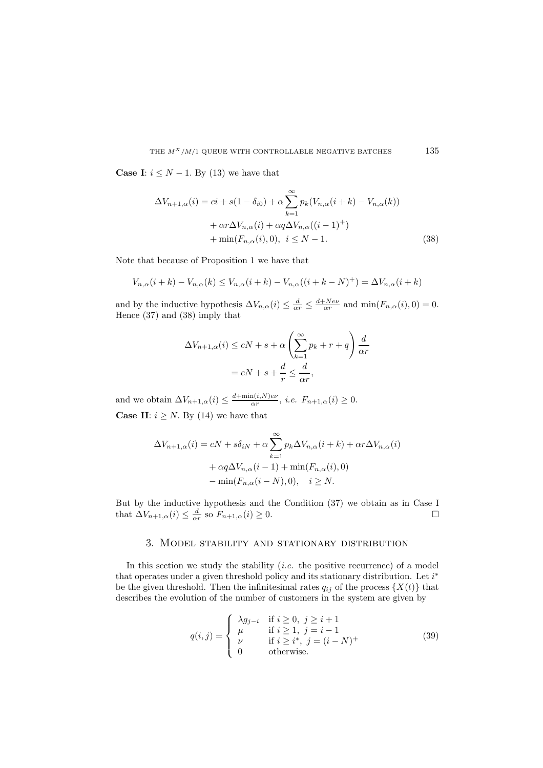**Case I**:  $i \leq N - 1$ . By (13) we have that

$$
\Delta V_{n+1,\alpha}(i) = ci + s(1 - \delta_{i0}) + \alpha \sum_{k=1}^{\infty} p_k (V_{n,\alpha}(i+k) - V_{n,\alpha}(k))
$$

$$
+ \alpha r \Delta V_{n,\alpha}(i) + \alpha q \Delta V_{n,\alpha}((i-1)^+) + \min(F_{n,\alpha}(i), 0), \quad i \le N - 1.
$$
 (38)

Note that because of Proposition 1 we have that

$$
V_{n,\alpha}(i+k) - V_{n,\alpha}(k) \le V_{n,\alpha}(i+k) - V_{n,\alpha}((i+k-N)^+) = \Delta V_{n,\alpha}(i+k)
$$

and by the inductive hypothesis  $\Delta V_{n,\alpha}(i) \leq \frac{d}{\alpha r} \leq \frac{d + Ne\nu}{\alpha r}$  and  $\min(F_{n,\alpha}(i), 0) = 0$ . Hence (37) and (38) imply that

$$
\Delta V_{n+1,\alpha}(i) \le cN + s + \alpha \left(\sum_{k=1}^{\infty} p_k + r + q\right) \frac{d}{\alpha r}
$$

$$
= cN + s + \frac{d}{r} \le \frac{d}{\alpha r},
$$

and we obtain  $\Delta V_{n+1,\alpha}(i) \leq \frac{d + \min(i,N) e \nu}{\alpha r}$ , *i.e.*  $F_{n+1,\alpha}(i) \geq 0$ . **Case II:**  $i \geq N$ . By (14) we have that

$$
\Delta V_{n+1,\alpha}(i) = cN + s\delta_{iN} + \alpha \sum_{k=1}^{\infty} p_k \Delta V_{n,\alpha}(i+k) + \alpha r \Delta V_{n,\alpha}(i)
$$

$$
+ \alpha q \Delta V_{n,\alpha}(i-1) + \min(F_{n,\alpha}(i), 0)
$$

$$
- \min(F_{n,\alpha}(i-N), 0), \quad i \ge N.
$$

But by the inductive hypothesis and the Condition (37) we obtain as in Case I that  $\Delta V_{n+1,\alpha}(i) \leq \frac{d}{\alpha r}$  so  $F_{n+1,\alpha}(i) \geq 0$ .

# 3. Model stability and stationary distribution

In this section we study the stability (*i.e.* the positive recurrence) of a model that operates under a given threshold policy and its stationary distribution. Let  $i^*$ be the given threshold. Then the infinitesimal rates  $q_{ij}$  of the process  $\{X(t)\}\$  that describes the evolution of the number of customers in the system are given by

$$
q(i,j) = \begin{cases} \lambda g_{j-i} & \text{if } i \geq 0, \ j \geq i+1\\ \mu & \text{if } i \geq 1, \ j = i-1\\ \nu & \text{if } i \geq i^*, \ j = (i-N)^+\\ 0 & \text{otherwise.} \end{cases} \tag{39}
$$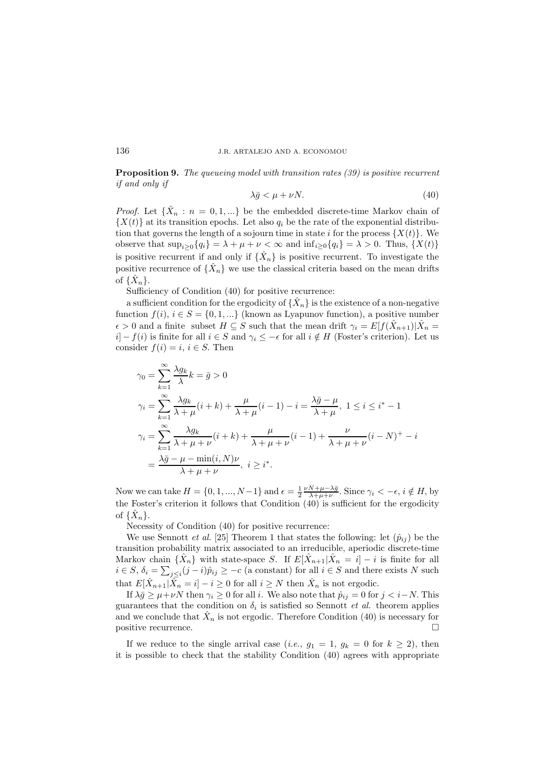**Proposition 9.** *The queueing model with transition rates (39) is positive recurrent if and only if*

$$
\lambda \bar{g} < \mu + \nu N. \tag{40}
$$

*Proof.* Let  $\{\hat{X}_n : n = 0, 1, ...\}$  be the embedded discrete-time Markov chain of  ${X(t)}$  at its transition epochs. Let also  $q_i$  be the rate of the exponential distribution that governs the length of a sojourn time in state i for the process  $\{X(t)\}.$  We observe that  $\sup_{i>0} \{q_i\} = \lambda + \mu + \nu < \infty$  and  $\inf_{i>0} \{q_i\} = \lambda > 0$ . Thus,  $\{X(t)\}$ is positive recurrent if and only if  $\{\hat{X}_n\}$  is positive recurrent. To investigate the positive recurrence of  $\{X_n\}$  we use the classical criteria based on the mean drifts of  $\{\hat{X}_n\}$ .

Sufficiency of Condition (40) for positive recurrence:

a sufficient condition for the ergodicity of  $\{X_n\}$  is the existence of a non-negative function  $f(i), i \in S = \{0, 1, ...\}$  (known as Lyapunov function), a positive number  $\epsilon > 0$  and a finite subset  $H \subseteq S$  such that the mean drift  $\gamma_i = E[f(\hat{X}_{n+1})|\hat{X}_n =$  $i]$  –  $f(i)$  is finite for all  $i \in S$  and  $\gamma_i \leq -\epsilon$  for all  $i \notin H$  (Foster's criterion). Let us consider  $f(i) = i, i \in S$ . Then

$$
\gamma_0 = \sum_{k=1}^{\infty} \frac{\lambda g_k}{\lambda} k = \bar{g} > 0
$$
  
\n
$$
\gamma_i = \sum_{k=1}^{\infty} \frac{\lambda g_k}{\lambda + \mu} (i + k) + \frac{\mu}{\lambda + \mu} (i - 1) - i = \frac{\lambda \bar{g} - \mu}{\lambda + \mu}, 1 \le i \le i^* - 1
$$
  
\n
$$
\gamma_i = \sum_{k=1}^{\infty} \frac{\lambda g_k}{\lambda + \mu + \nu} (i + k) + \frac{\mu}{\lambda + \mu + \nu} (i - 1) + \frac{\nu}{\lambda + \mu + \nu} (i - N)^+ - i
$$
  
\n
$$
= \frac{\lambda \bar{g} - \mu - \min(i, N)\nu}{\lambda + \mu + \nu}, i \ge i^*.
$$

Now we can take  $H = \{0, 1, ..., N-1\}$  and  $\epsilon = \frac{1}{2} \frac{\nu N + \mu - \lambda \bar{g}}{\lambda + \mu + \nu}$ . Since  $\gamma_i < -\epsilon$ ,  $i \notin H$ , by the Foster's criterion it follows that Condition (40) is sufficient for the ergodicity of  $\{\hat{X}_n\}.$ 

Necessity of Condition (40) for positive recurrence:

We use Sennott *et al.* [25] Theorem 1 that states the following: let  $(\hat{p}_{ij})$  be the transition probability matrix associated to an irreducible, aperiodic discrete-time Markov chain  $\{\hat{X}_n\}$  with state-space S. If  $E[\hat{X}_{n+1}|\hat{X}_n = i] - i$  is finite for all  $i \in S$ ,  $\delta_i = \sum_{j \leq i} (j - i)\hat{p}_{ij} \geq -c$  (a constant) for all  $i \in S$  and there exists N such that  $E[\hat{X}_{n+1}|\hat{X}_n = i] - i \geq 0$  for all  $i \geq N$  then  $\hat{X}_n$  is not ergodic.

If  $\lambda \bar{g} \ge \mu + \nu N$  then  $\gamma_i \ge 0$  for all i. We also note that  $\hat{p}_{ij} = 0$  for  $j < i-N$ . This guarantees that the condition on  $\delta_i$  is satisfied so Sennott *et al.* theorem applies and we conclude that  $\hat{X}_n$  is not ergodic. Therefore Condition (40) is necessary for positive recurrence.

If we reduce to the single arrival case (*i.e.*,  $q_1 = 1$ ,  $q_k = 0$  for  $k > 2$ ), then it is possible to check that the stability Condition (40) agrees with appropriate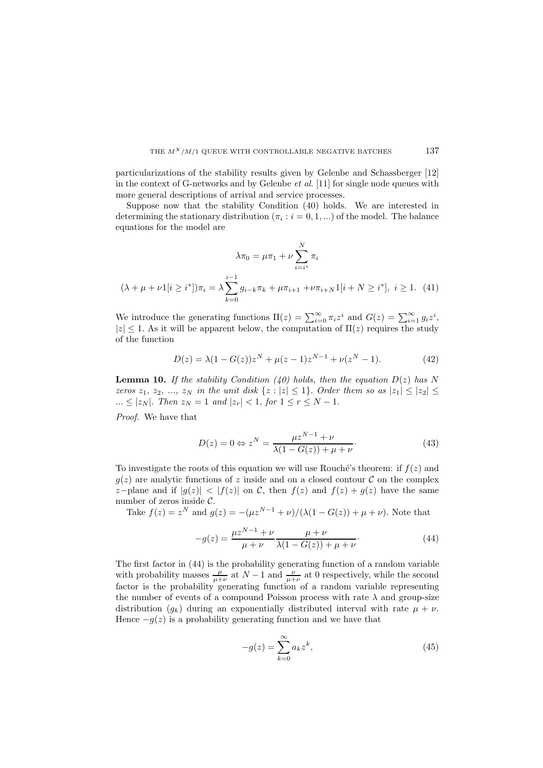particularizations of the stability results given by Gelenbe and Schassberger [12] in the context of G-networks and by Gelenbe *et al.* [11] for single node queues with more general descriptions of arrival and service processes.

Suppose now that the stability Condition (40) holds. We are interested in determining the stationary distribution  $(\pi_i : i = 0, 1, ...)$  of the model. The balance equations for the model are

$$
\lambda \pi_0 = \mu \pi_1 + \nu \sum_{i=i^*}^N \pi_i
$$
  

$$
(\lambda + \mu + \nu 1[i \ge i^*]) \pi_i = \lambda \sum_{k=0}^{i-1} g_{i-k} \pi_k + \mu \pi_{i+1} + \nu \pi_{i+N} 1[i + N \ge i^*], \ i \ge 1. \tag{41}
$$

We introduce the generating functions  $\Pi(z) = \sum_{i=0}^{\infty} \pi_i z^i$  and  $G(z) = \sum_{i=1}^{\infty} g_i z^i$ ,  $|z| \leq 1$ . As it will be apparent below, the computation of  $\Pi(z)$  requires the study of the function

$$
D(z) = \lambda (1 - G(z))z^{N} + \mu(z - 1)z^{N-1} + \nu(z^{N} - 1).
$$
 (42)

**Lemma 10.** *If the stability Condition* (40) holds, then the equation  $D(z)$  has N *zeros*  $z_1, z_2, ..., z_N$  *in the unit disk*  $\{z : |z| \leq 1\}$ . *Order them so as*  $|z_1| \leq |z_2| \leq$ ...  $\leq |z_N|$ . Then  $z_N = 1$  and  $|z_r| < 1$ , for  $1 \leq r \leq N - 1$ .

*Proof.* We have that

$$
D(z) = 0 \Leftrightarrow z^N = \frac{\mu z^{N-1} + \nu}{\lambda (1 - G(z)) + \mu + \nu}.
$$
\n(43)

To investigate the roots of this equation we will use Rouché's theorem: if  $f(z)$  and  $q(z)$  are analytic functions of z inside and on a closed contour C on the complex z-plane and if  $|g(z)| < |f(z)|$  on C, then  $f(z)$  and  $f(z) + g(z)$  have the same number of zeros inside  $\mathcal{C}$ .

Take  $f(z) = z^N$  and  $g(z) = -(\mu z^{N-1} + \nu)/(\lambda(1 - G(z)) + \mu + \nu)$ . Note that

$$
-g(z) = \frac{\mu z^{N-1} + \nu}{\mu + \nu} \frac{\mu + \nu}{\lambda (1 - G(z)) + \mu + \nu}.
$$
 (44)

The first factor in (44) is the probability generating function of a random variable with probability masses  $\frac{\mu}{\mu+\nu}$  at  $N-1$  and  $\frac{\nu}{\mu+\nu}$  at 0 respectively, while the second factor is the probability generating function of a random variable representing the number of events of a compound Poisson process with rate  $\lambda$  and group-size distribution  $(q_k)$  during an exponentially distributed interval with rate  $\mu + \nu$ . Hence  $-g(z)$  is a probability generating function and we have that

$$
-g(z) = \sum_{k=0}^{\infty} a_k z^k,
$$
\n(45)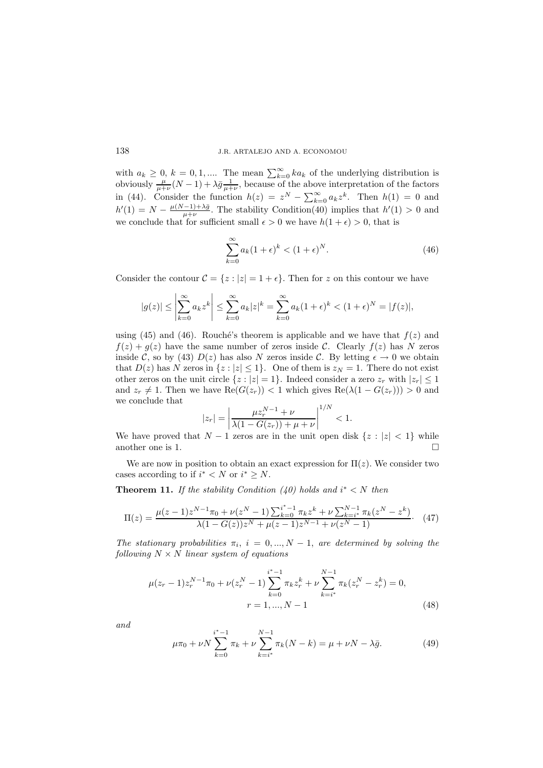with  $a_k \geq 0$ ,  $k = 0, 1, \dots$  The mean  $\sum_{k=0}^{\infty} ka_k$  of the underlying distribution is obviously  $\frac{\mu}{\mu+\nu}(N-1) + \lambda \bar{g} \frac{1}{\mu+\nu}$ , because of the above interpretation of the factors in (44). Consider the function  $h(z) = z^N - \sum_{k=0}^{\infty} a_k z^k$ . Then  $h(1) = 0$  and  $h'(1) = N - \frac{\mu(N-1)+\lambda\bar{g}}{\mu+\nu}$ . The stability Condition(40) implies that  $h'(1) > 0$  and we conclude that for sufficient small  $\epsilon > 0$  we have  $h(1 + \epsilon) > 0$ , that is

$$
\sum_{k=0}^{\infty} a_k (1+\epsilon)^k < (1+\epsilon)^N. \tag{46}
$$

Consider the contour  $\mathcal{C} = \{z : |z| = 1 + \epsilon\}$ . Then for z on this contour we have

$$
|g(z)| \le \left| \sum_{k=0}^{\infty} a_k z^k \right| \le \sum_{k=0}^{\infty} a_k |z|^k = \sum_{k=0}^{\infty} a_k (1 + \epsilon)^k < (1 + \epsilon)^N = |f(z)|,
$$

using (45) and (46). Rouché's theorem is applicable and we have that  $f(z)$  and  $f(z) + g(z)$  have the same number of zeros inside C. Clearly  $f(z)$  has N zeros inside C, so by (43)  $D(z)$  has also N zeros inside C. By letting  $\epsilon \to 0$  we obtain that  $D(z)$  has N zeros in  $\{z : |z| \leq 1\}$ . One of them is  $z_N = 1$ . There do not exist other zeros on the unit circle  $\{z : |z| = 1\}$ . Indeed consider a zero  $z_r$  with  $|z_r| \leq 1$ and  $z_r \neq 1$ . Then we have  $\text{Re}(G(z_r)) < 1$  which gives  $\text{Re}(\lambda(1 - G(z_r))) > 0$  and we conclude that

$$
|z_r| = \left| \frac{\mu z_r^{N-1} + \nu}{\lambda (1 - G(z_r)) + \mu + \nu} \right|^{1/N} < 1.
$$

We have proved that  $N-1$  zeros are in the unit open disk  $\{z : |z| < 1\}$  while another one is 1.

We are now in position to obtain an exact expression for  $\Pi(z)$ . We consider two cases according to if  $i^* < N$  or  $i^* \geq N$ .

**Theorem 11.** *If the stability Condition*  $(40)$  holds and  $i^* < N$  then

$$
\Pi(z) = \frac{\mu(z-1)z^{N-1}\pi_0 + \nu(z^N - 1)\sum_{k=0}^{i^*-1} \pi_k z^k + \nu \sum_{k=i^*}^{N-1} \pi_k (z^N - z^k)}{\lambda(1 - G(z))z^N + \mu(z - 1)z^{N-1} + \nu(z^N - 1)}.
$$
 (47)

*The stationary probabilities*  $\pi_i$ ,  $i = 0, ..., N - 1$ , *are determined by solving the following*  $N \times N$  *linear system of equations* 

$$
\mu(z_r - 1)z_r^{N-1}\pi_0 + \nu(z_r^N - 1)\sum_{k=0}^{i^*-1} \pi_k z_r^k + \nu \sum_{k=i^*}^{N-1} \pi_k(z_r^N - z_r^k) = 0,
$$
  

$$
r = 1, ..., N-1
$$
 (48)

*and*

$$
\mu \pi_0 + \nu N \sum_{k=0}^{i^*-1} \pi_k + \nu \sum_{k=i^*}^{N-1} \pi_k (N-k) = \mu + \nu N - \lambda \bar{g}.
$$
 (49)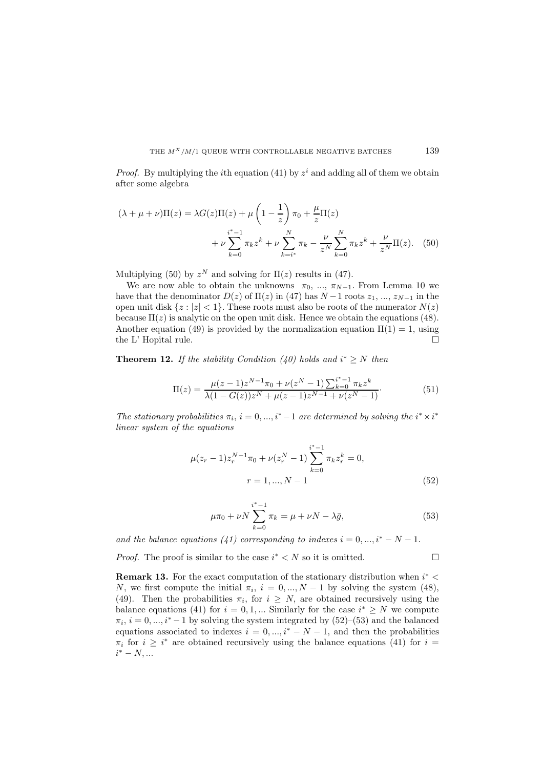*Proof.* By multiplying the *i*th equation (41) by  $z<sup>i</sup>$  and adding all of them we obtain after some algebra

$$
(\lambda + \mu + \nu)\Pi(z) = \lambda G(z)\Pi(z) + \mu \left(1 - \frac{1}{z}\right)\pi_0 + \frac{\mu}{z}\Pi(z) + \nu \sum_{k=0}^{i^*-1} \pi_k z^k + \nu \sum_{k=i^*}^N \pi_k - \frac{\nu}{z^N} \sum_{k=0}^N \pi_k z^k + \frac{\nu}{z^N} \Pi(z). \tag{50}
$$

Multiplying (50) by  $z^N$  and solving for  $\Pi(z)$  results in (47).

We are now able to obtain the unknowns  $\pi_0$ , ...,  $\pi_{N-1}$ . From Lemma 10 we have that the denominator  $D(z)$  of  $\Pi(z)$  in (47) has  $N-1$  roots  $z_1, ..., z_{N-1}$  in the open unit disk  $\{z : |z| < 1\}$ . These roots must also be roots of the numerator  $N(z)$ because  $\Pi(z)$  is analytic on the open unit disk. Hence we obtain the equations (48). Another equation (49) is provided by the normalization equation  $\Pi(1) = 1$ , using the L' Hopital rule.  $\Box$ 

**Theorem 12.** *If the stability Condition* (40) holds and  $i^* \geq N$  then

$$
\Pi(z) = \frac{\mu(z-1)z^{N-1}\pi_0 + \nu(z^N-1)\sum_{k=0}^{i^*-1}\pi_k z^k}{\lambda(1 - G(z))z^N + \mu(z-1)z^{N-1} + \nu(z^N-1)}.
$$
\n(51)

*The stationary probabilities*  $\pi_i$ ,  $i = 0, ..., i^* - 1$  *are determined by solving the*  $i^* \times i^*$ *linear system of the equations*

$$
\mu(z_r - 1)z_r^{N-1}\pi_0 + \nu(z_r^N - 1)\sum_{k=0}^{i^*-1} \pi_k z_r^k = 0,
$$
  

$$
r = 1, ..., N-1
$$
 (52)

$$
\mu \pi_0 + \nu N \sum_{k=0}^{i^* - 1} \pi_k = \mu + \nu N - \lambda \bar{g}, \tag{53}
$$

*and the balance equations (41) corresponding to indexes*  $i = 0, ..., i^* - N - 1$ .

*Proof.* The proof is similar to the case  $i^* < N$  so it is omitted.  $\Box$ 

**Remark 13.** For the exact computation of the stationary distribution when  $i^*$  < N, we first compute the initial  $\pi_i$ ,  $i = 0, ..., N - 1$  by solving the system (48), (49). Then the probabilities  $\pi_i$ , for  $i \geq N$ , are obtained recursively using the balance equations (41) for  $i = 0, 1, ...$  Similarly for the case  $i^* \geq N$  we compute  $\pi_i$ ,  $i = 0, ..., i^* - 1$  by solving the system integrated by  $(52)$ – $(53)$  and the balanced equations associated to indexes  $i = 0, ..., i^* - N - 1$ , and then the probabilities  $\pi_i$  for  $i \geq i^*$  are obtained recursively using the balance equations (41) for  $i =$  $i^* - N, ...$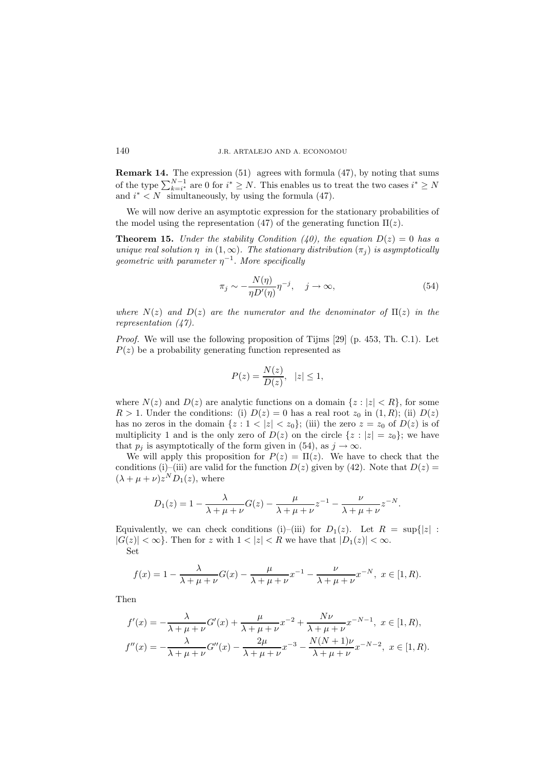**Remark 14.** The expression (51) agrees with formula (47), by noting that sums of the type  $\sum_{k=i^*}^{N-1}$  are 0 for  $i^* \geq N$ . This enables us to treat the two cases  $i^* \geq N$ and  $i^* < N$  simultaneously, by using the formula (47).

We will now derive an asymptotic expression for the stationary probabilities of the model using the representation (47) of the generating function  $\Pi(z)$ .

**Theorem 15.** *Under the stability Condition (40), the equation*  $D(z)=0$  *has a unique real solution*  $\eta$  *in*  $(1, \infty)$ *. The stationary distribution*  $(\pi_i)$  *is asymptotically geometric with parameter*  $\eta^{-1}$ . *More specifically* 

$$
\pi_j \sim -\frac{N(\eta)}{\eta D'(\eta)} \eta^{-j}, \quad j \to \infty,
$$
\n(54)

*where*  $N(z)$  *and*  $D(z)$  *are the numerator and the denominator of*  $\Pi(z)$  *in the representation (47).*

*Proof.* We will use the following proposition of Tijms [29] (p. 453, Th. C.1). Let  $P(z)$  be a probability generating function represented as

$$
P(z) = \frac{N(z)}{D(z)}, \quad |z| \le 1,
$$

where  $N(z)$  and  $D(z)$  are analytic functions on a domain  $\{z : |z| < R\}$ , for some  $R > 1$ . Under the conditions: (i)  $D(z) = 0$  has a real root  $z_0$  in  $(1, R)$ ; (ii)  $D(z)$ has no zeros in the domain  $\{z : 1 < |z| < z_0\}$ ; (iii) the zero  $z = z_0$  of  $D(z)$  is of multiplicity 1 and is the only zero of  $D(z)$  on the circle  $\{z : |z| = z_0\}$ ; we have that  $p_j$  is asymptotically of the form given in (54), as  $j \to \infty$ .

We will apply this proposition for  $P(z) = \Pi(z)$ . We have to check that the conditions (i)–(iii) are valid for the function  $D(z)$  given by (42). Note that  $D(z)$  $(\lambda + \mu + \nu)z^{N}D_1(z)$ , where

$$
D_1(z) = 1 - \frac{\lambda}{\lambda + \mu + \nu} G(z) - \frac{\mu}{\lambda + \mu + \nu} z^{-1} - \frac{\nu}{\lambda + \mu + \nu} z^{-N}.
$$

Equivalently, we can check conditions (i)–(iii) for  $D_1(z)$ . Let  $R = \sup\{|z| :$  $|G(z)| < \infty$ . Then for z with  $1 < |z| < R$  we have that  $|D_1(z)| < \infty$ . Set

$$
f(x) = 1 - \frac{\lambda}{\lambda + \mu + \nu} G(x) - \frac{\mu}{\lambda + \mu + \nu} x^{-1} - \frac{\nu}{\lambda + \mu + \nu} x^{-N}, \ x \in [1, R).
$$

Then

$$
f'(x) = -\frac{\lambda}{\lambda + \mu + \nu} G'(x) + \frac{\mu}{\lambda + \mu + \nu} x^{-2} + \frac{N\nu}{\lambda + \mu + \nu} x^{-N-1}, \ x \in [1, R),
$$
  

$$
f''(x) = -\frac{\lambda}{\lambda + \mu + \nu} G''(x) - \frac{2\mu}{\lambda + \mu + \nu} x^{-3} - \frac{N(N+1)\nu}{\lambda + \mu + \nu} x^{-N-2}, \ x \in [1, R).
$$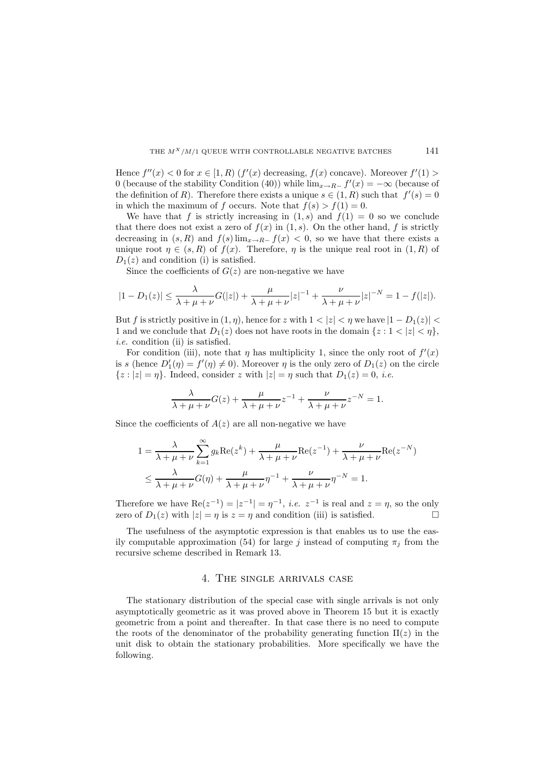Hence  $f''(x) < 0$  for  $x \in [1, R)$   $(f'(x)$  decreasing,  $f(x)$  concave). Moreover  $f'(1) >$ 0 (because of the stability Condition (40)) while  $\lim_{x\to R^-} f'(x) = -\infty$  (because of the definition of R). Therefore there exists a unique  $s \in (1, R)$  such that  $f'(s) = 0$ in which the maximum of f occurs. Note that  $f(s) > f(1) = 0$ .

We have that f is strictly increasing in  $(1, s)$  and  $f(1) = 0$  so we conclude that there does not exist a zero of  $f(x)$  in  $(1, s)$ . On the other hand, f is strictly decreasing in  $(s, R)$  and  $f(s)$  lim<sub>x→R−</sub>  $f(x)$  < 0, so we have that there exists a unique root  $\eta \in (s, R)$  of  $f(x)$ . Therefore,  $\eta$  is the unique real root in  $(1, R)$  of  $D_1(z)$  and condition (i) is satisfied.

Since the coefficients of  $G(z)$  are non-negative we have

$$
|1 - D_1(z)| \leq \frac{\lambda}{\lambda + \mu + \nu} G(|z|) + \frac{\mu}{\lambda + \mu + \nu} |z|^{-1} + \frac{\nu}{\lambda + \mu + \nu} |z|^{-N} = 1 - f(|z|).
$$

But f is strictly positive in  $(1, \eta)$ , hence for z with  $1 < |z| < \eta$  we have  $|1 - D_1(z)| <$ 1 and we conclude that  $D_1(z)$  does not have roots in the domain  $\{z : 1 < |z| < \eta\},\$ *i.e.* condition (ii) is satisfied.

For condition (iii), note that  $\eta$  has multiplicity 1, since the only root of  $f'(x)$ is s (hence  $D'_1(\eta) = f'(\eta) \neq 0$ ). Moreover  $\eta$  is the only zero of  $D_1(z)$  on the circle  $\{z : |z| = \eta\}$ . Indeed, consider z with  $|z| = \eta$  such that  $D_1(z) = 0$ , *i.e.* 

$$
\frac{\lambda}{\lambda + \mu + \nu} G(z) + \frac{\mu}{\lambda + \mu + \nu} z^{-1} + \frac{\nu}{\lambda + \mu + \nu} z^{-N} = 1.
$$

Since the coefficients of  $A(z)$  are all non-negative we have

$$
1 = \frac{\lambda}{\lambda + \mu + \nu} \sum_{k=1}^{\infty} g_k \text{Re}(z^k) + \frac{\mu}{\lambda + \mu + \nu} \text{Re}(z^{-1}) + \frac{\nu}{\lambda + \mu + \nu} \text{Re}(z^{-N})
$$
  

$$
\leq \frac{\lambda}{\lambda + \mu + \nu} G(\eta) + \frac{\mu}{\lambda + \mu + \nu} \eta^{-1} + \frac{\nu}{\lambda + \mu + \nu} \eta^{-N} = 1.
$$

Therefore we have  $\text{Re}(z^{-1}) = |z^{-1}| = \eta^{-1}$ , *i.e.*  $z^{-1}$  is real and  $z = \eta$ , so the only zero of  $D_1(z)$  with  $|z| = \eta$  is  $z = \eta$  and condition (iii) is satisfied.

The usefulness of the asymptotic expression is that enables us to use the easily computable approximation (54) for large j instead of computing  $\pi_j$  from the recursive scheme described in Remark 13.

### 4. The single arrivals case

The stationary distribution of the special case with single arrivals is not only asymptotically geometric as it was proved above in Theorem 15 but it is exactly geometric from a point and thereafter. In that case there is no need to compute the roots of the denominator of the probability generating function  $\Pi(z)$  in the unit disk to obtain the stationary probabilities. More specifically we have the following.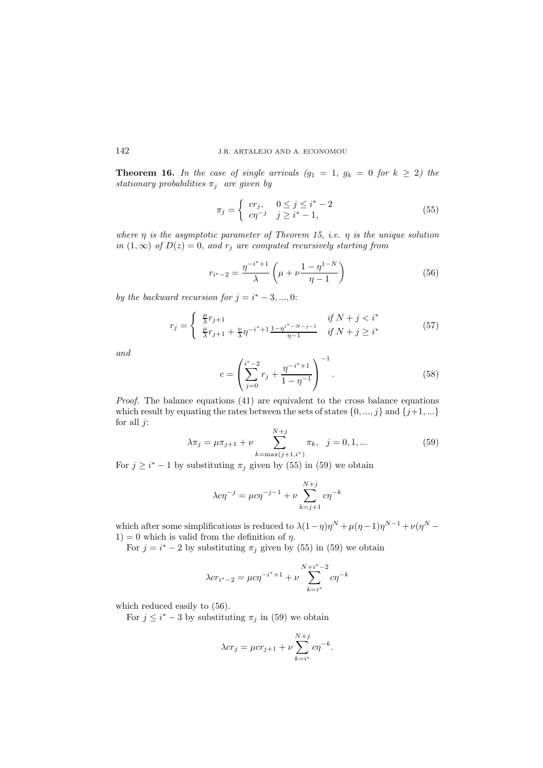**Theorem 16.** In the case of single arrivals  $(g_1 = 1, g_k = 0$  for  $k \geq 2$ ) the *stationary probabilities*  $\pi_j$  *are given by* 

$$
\pi_j = \begin{cases} cr_j, & 0 \le j \le i^* - 2 \\ c\eta^{-j} & j \ge i^* - 1, \end{cases}
$$
\n
$$
(55)
$$

*where* η *is the asymptotic parameter of Theorem 15, i.e.* η *is the unique solution in*  $(1, \infty)$  *of*  $D(z) = 0$ *, and*  $r_j$  *are computed recursively starting from* 

$$
r_{i^*-2} = \frac{\eta^{-i^*+1}}{\lambda} \left(\mu + \nu \frac{1-\eta^{1-N}}{\eta-1}\right)
$$
 (56)

*by the backward recursion for*  $j = i^* - 3, ..., 0$ :

$$
r_j = \begin{cases} \frac{\mu}{\lambda} r_{j+1} & \text{if } N + j < i^*\\ \frac{\mu}{\lambda} r_{j+1} + \frac{\nu}{\lambda} \eta^{-i^* + 1} \frac{1 - \eta^{i^* - N - j - 1}}{\eta - 1} & \text{if } N + j \ge i^* \end{cases} \tag{57}
$$

*and*

$$
c = \left(\sum_{j=0}^{i^*-2} r_j + \frac{\eta^{-i^*+1}}{1-\eta^{-1}}\right)^{-1}.\tag{58}
$$

*Proof.* The balance equations (41) are equivalent to the cross balance equations which result by equating the rates between the sets of states  $\{0, ..., j\}$  and  $\{j+1, ...\}$ for all  $j$ :

$$
\lambda \pi_j = \mu \pi_{j+1} + \nu \sum_{k=\max(j+1,i^*)}^{N+j} \pi_k, \ \ j = 0, 1, \dots \tag{59}
$$

For  $j \geq i^* - 1$  by substituting  $\pi_j$  given by (55) in (59) we obtain

$$
\lambda c \eta^{-j} = \mu c \eta^{-j-1} + \nu \sum_{k=j+1}^{N+j} c \eta^{-k}
$$

which after some simplifications is reduced to  $\lambda(1-\eta)\eta^{N} + \mu(\eta-1)\eta^{N-1} + \nu(\eta^{N} 1$ ) = 0 which is valid from the definition of  $\eta$ .

For  $j = i^* - 2$  by substituting  $\pi_j$  given by (55) in (59) we obtain

$$
\lambda c r_{i^*-2} = \mu c \eta^{-i^*+1} + \nu \sum_{k=i^*}^{N+i^*-2} c \eta^{-k}
$$

which reduced easily to  $(56)$ .

For  $j \leq i^* - 3$  by substituting  $\pi_j$  in (59) we obtain

$$
\lambda cr_j = \mu cr_{j+1} + \nu \sum_{k=i^*}^{N+j} c \eta^{-k}.
$$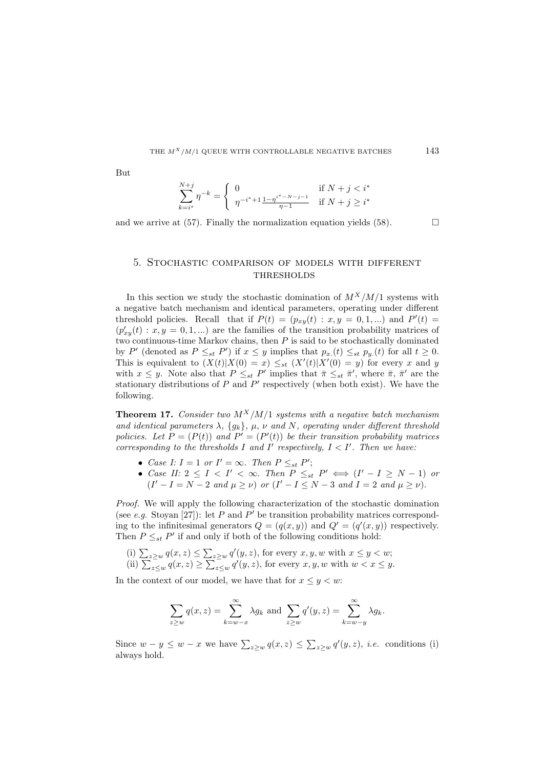But

$$
\sum_{k=i^*}^{N+j} \eta^{-k} = \begin{cases} 0 & \text{if } N+j < i^* \\ \eta^{-i^*+1} \frac{1 - \eta^{i^* - N - j - 1}}{\eta - 1} & \text{if } N+j \ge i^* \end{cases}
$$

and we arrive at (57). Finally the normalization equation yields (58).  $\Box$ 

## 5. Stochastic comparison of models with different **THRESHOLDS**

In this section we study the stochastic domination of  $M^X/M/1$  systems with a negative batch mechanism and identical parameters, operating under different threshold policies. Recall that if  $P(t) = (p_{xy}(t) : x, y = 0, 1, ...)$  and  $P'(t) =$  $(p'_{xy}(t) : x, y = 0, 1, ...)$  are the families of the transition probability matrices of two continuous-time Markov chains, then  $P$  is said to be stochastically dominated by P' (denoted as  $P \leq_{st} P'$ ) if  $x \leq y$  implies that  $p_x(t) \leq_{st} p_y(t)$  for all  $t \geq 0$ . This is equivalent to  $(X(t)|X(0) = x) \leq_{st} (X'(t)|X'(0) = y)$  for every x and y with  $x \leq y$ . Note also that  $P \leq_{st} P'$  implies that  $\bar{\pi} \leq_{st} \bar{\pi}'$ , where  $\bar{\pi}$ ,  $\bar{\pi}'$  are the stationary distributions of  $P$  and  $P'$  respectively (when both exist). We have the following.

**Theorem 17.** *Consider two*  $M^X/M/1$  *systems with a negative batch mechanism and identical parameters*  $\lambda$ ,  $\{g_k\}$ ,  $\mu$ ,  $\nu$  *and*  $N$ , *operating under different threshold policies. Let*  $P = (P(t))$  *and*  $P' = (P'(t))$  *be their transition probability matrices corresponding to the thresholds*  $I$  *and*  $I'$  *respectively,*  $I \langle I'$ *. Then we have:* 

- *Case I:*  $I = 1$  *or*  $I' = \infty$ *. Then*  $P \leq_{st} P'$ ;
- *Case II:*  $2 \leq I \leq I' \leq \infty$ . *Then*  $P \leq_{st} P' \iff (I' I \geq N 1)$  *or*  $(I' - I = N - 2$  *and*  $\mu \ge \nu$ ) *or*  $(I' - I \le N - 3$  *and*  $I = 2$  *and*  $\mu \ge \nu$ .

*Proof.* We will apply the following characterization of the stochastic domination (see *e.g.* Stoyan [27]): let P and P' be transition probability matrices corresponding to the infinitesimal generators  $Q = (q(x, y))$  and  $Q' = (q'(x, y))$  respectively. Then  $P \leq_{st} P'$  if and only if both of the following conditions hold:

(i)  $\sum_{z\geq w} q(x, z) \leq \sum_{z\geq w} q'(y, z)$ , for every  $x, y, w$  with  $x \leq y < w$ ; (ii)  $\sum_{z\leq w}^{-1} q(x,z) \geq \sum_{z\leq w}^{-1} q'(y,z)$ , for every  $x, y, w$  with  $w < x \leq y$ .

In the context of our model, we have that for  $x \leq y \leq w$ :

$$
\sum_{z \ge w} q(x, z) = \sum_{k=w-x}^{\infty} \lambda g_k \text{ and } \sum_{z \ge w} q'(y, z) = \sum_{k=w-y}^{\infty} \lambda g_k.
$$

Since  $w - y \leq w - x$  we have  $\sum_{z \geq w} q(x, z) \leq \sum_{z \geq w} q'(y, z)$ , *i.e.* conditions (i) always hold.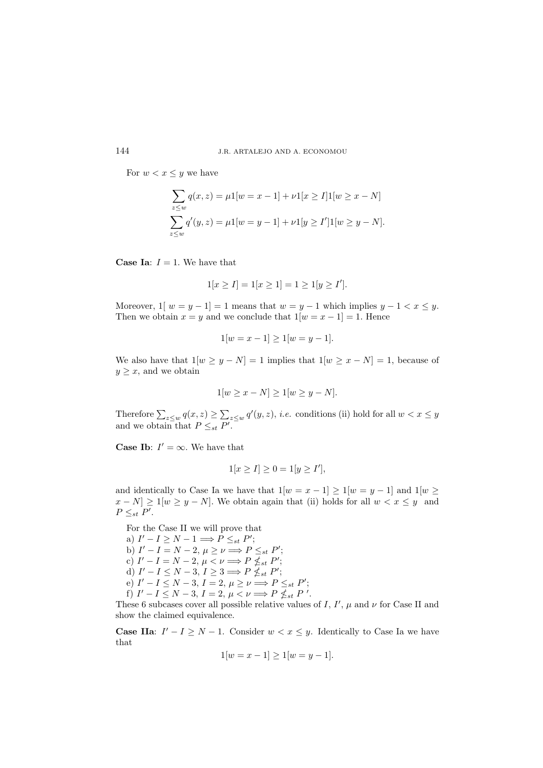For  $w < x \leq y$  we have

$$
\sum_{z \le w} q(x, z) = \mu 1[w = x - 1] + \nu 1[x \ge I] 1[w \ge x - N]
$$

$$
\sum_{z \le w} q'(y, z) = \mu 1[w = y - 1] + \nu 1[y \ge I'] 1[w \ge y - N].
$$

**Case Ia:**  $I = 1$ . We have that

$$
1[x \ge I] = 1[x \ge 1] = 1 \ge 1[y \ge I'].
$$

Moreover,  $1| w = y - 1| = 1$  means that  $w = y - 1$  which implies  $y - 1 < x \leq y$ . Then we obtain  $x = y$  and we conclude that  $1[w = x - 1] = 1$ . Hence

$$
1[w = x - 1] \ge 1[w = y - 1].
$$

We also have that  $1[w \ge y - N] = 1$  implies that  $1[w \ge x - N] = 1$ , because of  $y \geq x$ , and we obtain

$$
1[w \ge x - N] \ge 1[w \ge y - N].
$$

Therefore  $\sum_{z\leq w} q(x,z) \geq \sum_{z\leq w} q'(y,z)$ , *i.e.* conditions (ii) hold for all  $w < x \leq y$ and we obtain that  $P \leq_{st} P'$ .

**Case Ib:**  $I' = \infty$ . We have that

$$
1[x \ge I] \ge 0 = 1[y \ge I'],
$$

and identically to Case Ia we have that  $1[w = x - 1] \ge 1[w = y - 1]$  and  $1[w \ge$  $x - N \ge 1$ [ $w \ge y - N$ ]. We obtain again that (ii) holds for all  $w < x \le y$  and  $P \leq_{st} P'$ .

For the Case II we will prove that a)  $I' - I \geq N - 1 \Longrightarrow P \leq_{st} P';$ b)  $I' - I = N - 2, \mu \ge \nu \Longrightarrow P \le_{st} P';$ c)  $I' - I = N - 2, \mu < \nu \Longrightarrow P \nleq_{st} P';$ d)  $I' - I \leq N - 3, I \geq 3 \Longrightarrow P \nleq_{st} P';$ e)  $I' - I \le N - 3$ ,  $I = 2$ ,  $\mu \ge \nu \Longrightarrow P \le_{st} P'$ ; f)  $I' - I \leq N - 3$ ,  $I = 2$ ,  $\mu < \nu \Longrightarrow P \nleq_{st} P'$ .

These 6 subcases cover all possible relative values of I,  $I'$ ,  $\mu$  and  $\nu$  for Case II and show the claimed equivalence.

**Case IIa:**  $I' - I \geq N - 1$ . Consider  $w < x \leq y$ . Identically to Case Ia we have that

$$
1[w = x - 1] \ge 1[w = y - 1].
$$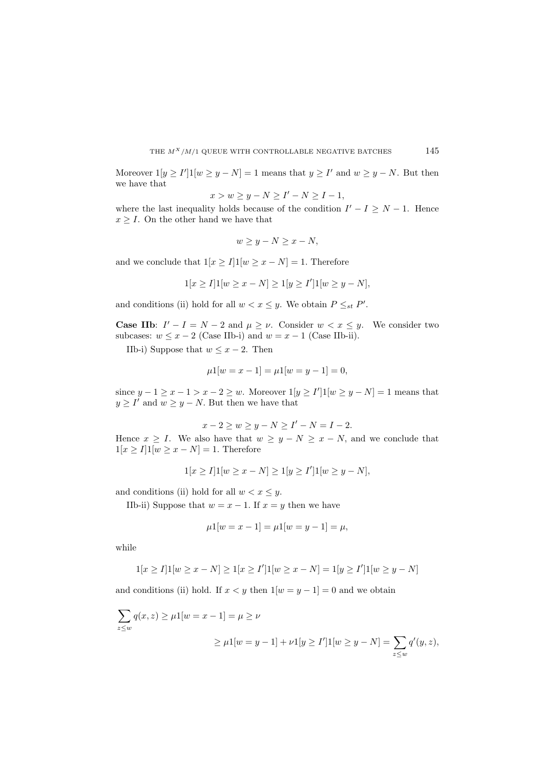Moreover  $1[y \geq I']1[w \geq y - N] = 1$  means that  $y \geq I'$  and  $w \geq y - N$ . But then we have that

$$
x > w \ge y - N \ge I' - N \ge I - 1,
$$

where the last inequality holds because of the condition  $I' - I \geq N - 1$ . Hence  $x \geq I$ . On the other hand we have that

$$
w \ge y - N \ge x - N,
$$

and we conclude that  $1[x \geq I]1[w \geq x - N] = 1$ . Therefore

$$
1[x \ge I]1[w \ge x - N] \ge 1[y \ge I']1[w \ge y - N],
$$

and conditions (ii) hold for all  $w < x \leq y$ . We obtain  $P \leq_{st} P'$ .

**Case IIb:**  $I' - I = N - 2$  and  $\mu \geq \nu$ . Consider  $w < x \leq y$ . We consider two subcases:  $w \leq x - 2$  (Case IIb-i) and  $w = x - 1$  (Case IIb-ii).

IIb-i) Suppose that  $w \leq x - 2$ . Then

$$
\mu 1[w = x - 1] = \mu 1[w = y - 1] = 0,
$$

since  $y - 1 \ge x - 1 > x - 2 \ge w$ . Moreover  $1[y \ge I']1[w \ge y - N] = 1$  means that  $y \geq I'$  and  $w \geq y - N$ . But then we have that

$$
x - 2 \ge w \ge y - N \ge I' - N = I - 2.
$$

Hence  $x \geq I$ . We also have that  $w \geq y - N \geq x - N$ , and we conclude that  $1[x \geq I]1[w \geq x - N] = 1.$  Therefore

$$
1[x \ge I]1[w \ge x - N] \ge 1[y \ge I']1[w \ge y - N],
$$

and conditions (ii) hold for all  $w < x \leq y$ .

IIb-ii) Suppose that  $w = x - 1$ . If  $x = y$  then we have

$$
\mu 1[w = x - 1] = \mu 1[w = y - 1] = \mu,
$$

while

$$
1[x \ge I]1[w \ge x - N] \ge 1[x \ge I']1[w \ge x - N] = 1[y \ge I']1[w \ge y - N]
$$

and conditions (ii) hold. If  $x < y$  then  $1[w = y - 1] = 0$  and we obtain

$$
\sum_{z \le w} q(x, z) \ge \mu 1[w = x - 1] = \mu \ge \nu
$$
  

$$
\ge \mu 1[w = y - 1] + \nu 1[y \ge I'] \mathbf{1}[w \ge y - N] = \sum_{z \le w} q'(y, z),
$$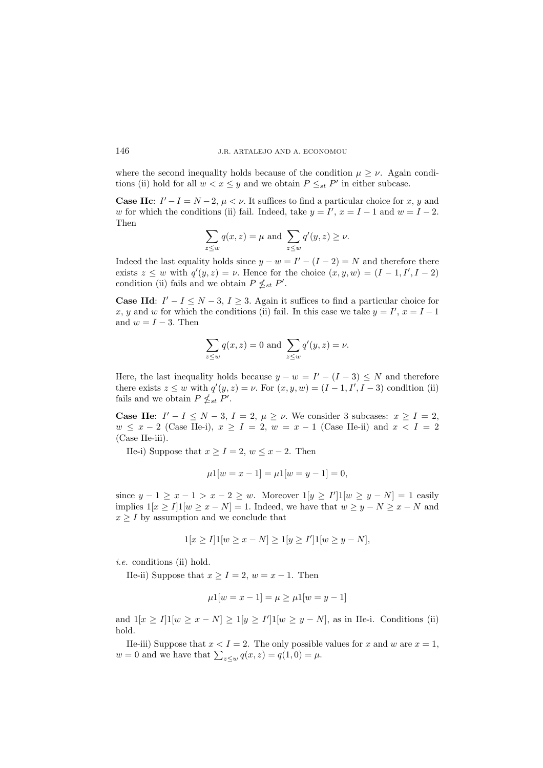where the second inequality holds because of the condition  $\mu \geq \nu$ . Again conditions (ii) hold for all  $w < x \leq y$  and we obtain  $P \leq_{st} P'$  in either subcase.

**Case IIc**:  $I' - I = N - 2$ ,  $\mu < \nu$ . It suffices to find a particular choice for x, y and w for which the conditions (ii) fail. Indeed, take  $y = I'$ ,  $x = I - 1$  and  $w = I - 2$ . Then

$$
\sum_{z \le w} q(x, z) = \mu \text{ and } \sum_{z \le w} q'(y, z) \ge \nu.
$$

Indeed the last equality holds since  $y - w = I' - (I - 2) = N$  and therefore there exists  $z \leq w$  with  $q'(y, z) = \nu$ . Hence for the choice  $(x, y, w) = (I - 1, I', I - 2)$ condition (ii) fails and we obtain  $P \nleq_{st} P'$ .

**Case IId:**  $I' - I \leq N - 3$ ,  $I \geq 3$ . Again it suffices to find a particular choice for x, y and w for which the conditions (ii) fail. In this case we take  $y = I'$ ,  $x = I - 1$ and  $w = I - 3$ . Then

$$
\sum_{z \le w} q(x, z) = 0 \text{ and } \sum_{z \le w} q'(y, z) = \nu.
$$

Here, the last inequality holds because  $y - w = I' - (I - 3) \leq N$  and therefore there exists  $z \leq w$  with  $q'(y, z) = \nu$ . For  $(x, y, w) = (I - 1, I', I - 3)$  condition (ii) fails and we obtain  $P \nleq_{st} P'$ .

**Case IIe**:  $I' - I \leq N - 3$ ,  $I = 2$ ,  $\mu \geq \nu$ . We consider 3 subcases:  $x \geq I = 2$ ,  $w \leq x - 2$  (Case IIe-i),  $x \geq I = 2$ ,  $w = x - 1$  (Case IIe-ii) and  $x < I = 2$ (Case IIe-iii).

IIe-i) Suppose that  $x \geq I = 2$ ,  $w \leq x - 2$ . Then

$$
\mu 1[w = x - 1] = \mu 1[w = y - 1] = 0,
$$

since  $y - 1 \ge x - 1 > x - 2 \ge w$ . Moreover  $1[y \ge I']1[w \ge y - N] = 1$  easily implies  $1[x \geq I]$   $1[w \geq x - N] = 1$ . Indeed, we have that  $w \geq y - N \geq x - N$  and  $x \geq I$  by assumption and we conclude that

$$
1[x \ge I]1[w \ge x - N] \ge 1[y \ge I']1[w \ge y - N],
$$

*i.e.* conditions (ii) hold.

IIe-ii) Suppose that  $x \geq I = 2$ ,  $w = x - 1$ . Then

$$
\mu 1[w = x - 1] = \mu \ge \mu 1[w = y - 1]
$$

and  $1[x \geq I] 1[w \geq x - N] \geq 1[y \geq I'] 1[w \geq y - N]$ , as in IIe-i. Conditions (ii) hold.

IIe-iii) Suppose that  $x < I = 2$ . The only possible values for x and w are  $x = 1$ ,  $w = 0$  and we have that  $\sum_{z \leq w} q(x, z) = q(1, 0) = \mu$ .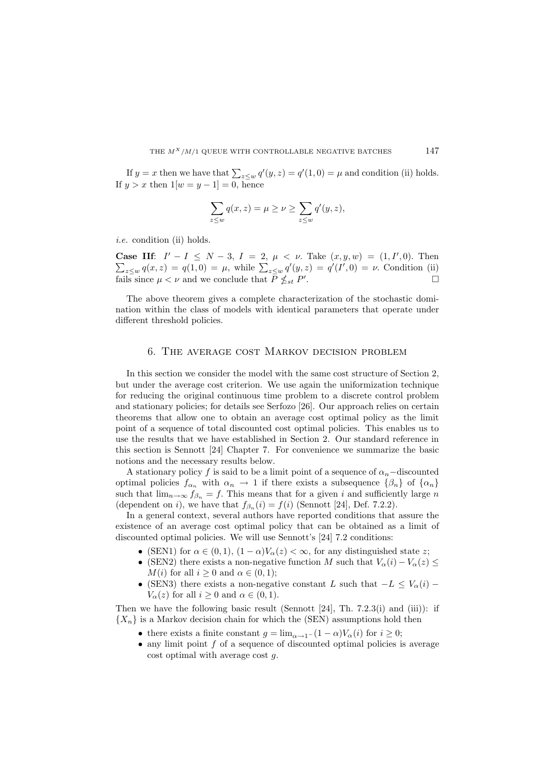If  $y = x$  then we have that  $\sum_{z \leq w} q'(y, z) = q'(1, 0) = \mu$  and condition (ii) holds. If  $y > x$  then  $1[w = y - 1] = 0$ , hence

$$
\sum_{z \le w} q(x, z) = \mu \ge \nu \ge \sum_{z \le w} q'(y, z),
$$

*i.e.* condition (ii) holds.

**Case IIf:**  $I' - I \leq N - 3$ ,  $I = 2$ ,  $\mu < \nu$ . Take  $(x, y, w) = (1, I', 0)$ . Then  $\sum_{z \leq w} q(x, z) = q(1, 0) = \mu$ , while  $\sum_{z \leq w} q'(y, z) = q'(I', 0) = \nu$ . Condition (ii) fails since  $\mu < \nu$  and we conclude that  $\overline{P} \nleq_{st} P'$ .

The above theorem gives a complete characterization of the stochastic domination within the class of models with identical parameters that operate under different threshold policies.

# 6. The average cost Markov decision problem

In this section we consider the model with the same cost structure of Section 2, but under the average cost criterion. We use again the uniformization technique for reducing the original continuous time problem to a discrete control problem and stationary policies; for details see Serfozo [26]. Our approach relies on certain theorems that allow one to obtain an average cost optimal policy as the limit point of a sequence of total discounted cost optimal policies. This enables us to use the results that we have established in Section 2. Our standard reference in this section is Sennott [24] Chapter 7. For convenience we summarize the basic notions and the necessary results below.

A stationary policy f is said to be a limit point of a sequence of  $\alpha_n$ -discounted optimal policies  $f_{\alpha_n}$  with  $\alpha_n \to 1$  if there exists a subsequence  $\{\beta_n\}$  of  $\{\alpha_n\}$ such that  $\lim_{n\to\infty} f_{\beta_n} = f$ . This means that for a given i and sufficiently large n (dependent on i), we have that  $f_{\beta_n}(i) = f(i)$  (Sennott [24], Def. 7.2.2).

In a general context, several authors have reported conditions that assure the existence of an average cost optimal policy that can be obtained as a limit of discounted optimal policies. We will use Sennott's [24] 7.2 conditions:

- (SEN1) for  $\alpha \in (0,1)$ ,  $(1-\alpha)V_{\alpha}(z) < \infty$ , for any distinguished state z;
- (SEN2) there exists a non-negative function M such that  $V_{\alpha}(i) V_{\alpha}(z) \leq$  $M(i)$  for all  $i \geq 0$  and  $\alpha \in (0,1)$ ;
- (SEN3) there exists a non-negative constant L such that  $-L \leq V_{\alpha}(i)$   $V_{\alpha}(z)$  for all  $i \geq 0$  and  $\alpha \in (0,1)$ .

Then we have the following basic result (Sennott  $[24]$ , Th. 7.2.3(i) and (iii)): if  ${X_n}$  is a Markov decision chain for which the (SEN) assumptions hold then

- there exists a finite constant  $g = \lim_{\alpha \to 1^-} (1 \alpha) V_\alpha(i)$  for  $i \geq 0$ ;
- $\bullet$  any limit point f of a sequence of discounted optimal policies is average cost optimal with average cost g.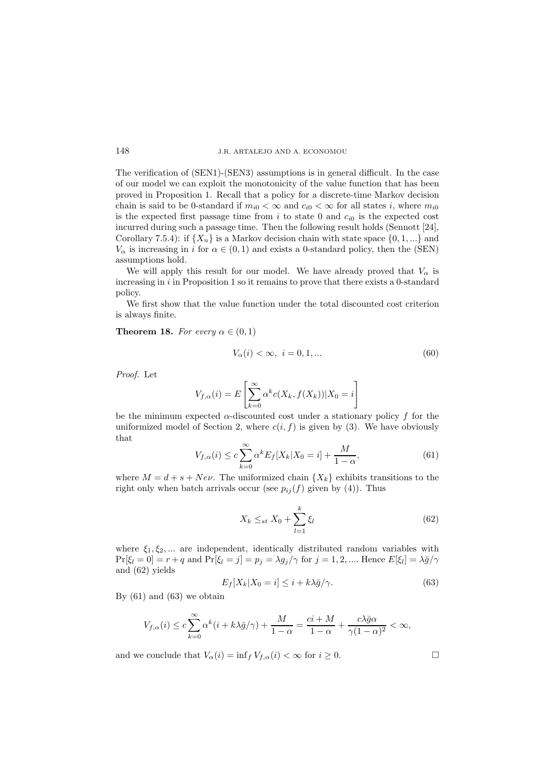The verification of (SEN1)-(SEN3) assumptions is in general difficult. In the case of our model we can exploit the monotonicity of the value function that has been proved in Proposition 1. Recall that a policy for a discrete-time Markov decision chain is said to be 0-standard if  $m_{i0} < \infty$  and  $c_{i0} < \infty$  for all states i, where  $m_{i0}$ is the expected first passage time from i to state 0 and  $c_{i0}$  is the expected cost incurred during such a passage time. Then the following result holds (Sennott [24], Corollary 7.5.4): if  $\{X_n\}$  is a Markov decision chain with state space  $\{0, 1, ...\}$  and  $V_\alpha$  is increasing in  $i$  for  $\alpha\in(0,1)$  and exists a 0-standard policy, then the (SEN) assumptions hold.

We will apply this result for our model. We have already proved that  $V_{\alpha}$  is increasing in  $i$  in Proposition 1 so it remains to prove that there exists a 0-standard policy.

We first show that the value function under the total discounted cost criterion is always finite.

#### **Theorem 18.** *For every*  $\alpha \in (0,1)$

$$
V_{\alpha}(i) < \infty, \ i = 0, 1, \dots \tag{60}
$$

*Proof.* Let

$$
V_{f,\alpha}(i) = E\left[\sum_{k=0}^{\infty} \alpha^k c(X_k, f(X_k)) | X_0 = i\right]
$$

be the minimum expected  $\alpha$ -discounted cost under a stationary policy f for the uniformized model of Section 2, where  $c(i, f)$  is given by (3). We have obviously that

$$
V_{f,\alpha}(i) \le c \sum_{k=0}^{\infty} \alpha^k E_f[X_k | X_0 = i] + \frac{M}{1 - \alpha},\tag{61}
$$

where  $M = d + s + Ne\nu$ . The uniformized chain  $\{X_k\}$  exhibits transitions to the right only when batch arrivals occur (see  $p_{ij}(f)$  given by (4)). Thus

$$
X_k \leq_{st} X_0 + \sum_{l=1}^k \xi_l \tag{62}
$$

where  $\xi_1, \xi_2, \dots$  are independent, identically distributed random variables with  $Pr[\xi_l = 0] = r + q$  and  $Pr[\xi_l = j] = p_j = \lambda g_j/\gamma$  for  $j = 1, 2, ...$  Hence  $E[\xi_l] = \lambda \bar{g}/\gamma$ and (62) yields

$$
E_f[X_k|X_0=i] \leq i + k\lambda \bar{g}/\gamma. \tag{63}
$$

By  $(61)$  and  $(63)$  we obtain

$$
V_{f,\alpha}(i) \le c \sum_{k=0}^{\infty} \alpha^k (i + k\lambda \bar{g}/\gamma) + \frac{M}{1-\alpha} = \frac{ci + M}{1-\alpha} + \frac{c\lambda \bar{g}\alpha}{\gamma(1-\alpha)^2} < \infty,
$$

and we conclude that  $V_{\alpha}(i) = \inf_{f} V_{f,\alpha}(i) < \infty$  for  $i \geq 0$ .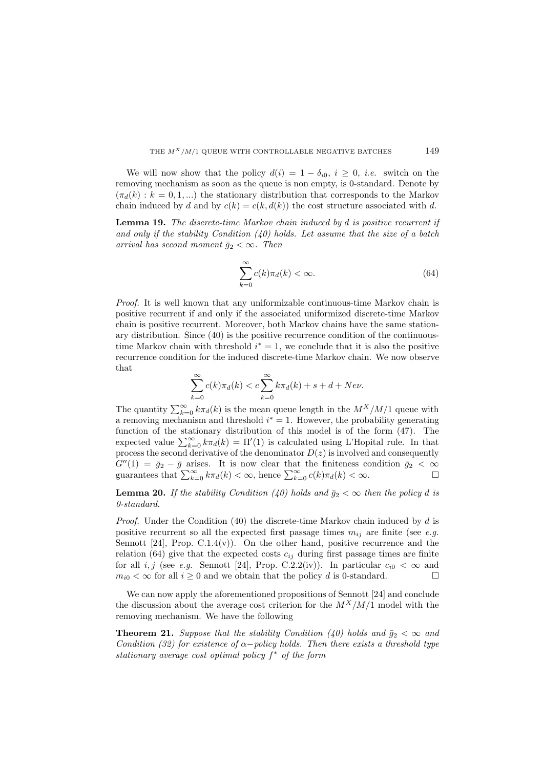We will now show that the policy  $d(i)=1 - \delta_{i0}, i \geq 0, i.e.$  switch on the removing mechanism as soon as the queue is non empty, is 0-standard. Denote by  $(\pi_d(k) : k = 0, 1, \ldots)$  the stationary distribution that corresponds to the Markov chain induced by d and by  $c(k) = c(k, d(k))$  the cost structure associated with d.

**Lemma 19.** *The discrete-time Markov chain induced by* d *is positive recurrent if and only if the stability Condition (40) holds. Let assume that the size of a batch arrival has second moment*  $\bar{q}_2 < \infty$ *. Then* 

$$
\sum_{k=0}^{\infty} c(k)\pi_d(k) < \infty. \tag{64}
$$

*Proof.* It is well known that any uniformizable continuous-time Markov chain is positive recurrent if and only if the associated uniformized discrete-time Markov chain is positive recurrent. Moreover, both Markov chains have the same stationary distribution. Since (40) is the positive recurrence condition of the continuoustime Markov chain with threshold  $i^* = 1$ , we conclude that it is also the positive recurrence condition for the induced discrete-time Markov chain. We now observe that

$$
\sum_{k=0}^{\infty} c(k) \pi_d(k) < c \sum_{k=0}^{\infty} k \pi_d(k) + s + d + Ne\nu.
$$

The quantity  $\sum_{k=0}^{\infty} k \pi_d(k)$  is the mean queue length in the  $M^X/M/1$  queue with a removing mechanism and threshold  $i^* = 1$ . However, the probability generating function of the stationary distribution of this model is of the form (47). The expected value  $\sum_{k=0}^{\infty} k \pi_d(k) = \Pi'(1)$  is calculated using L'Hopital rule. In that process the second derivative of the denominator  $D(z)$  is involved and consequently  $G''(1) = \bar{g}_2 - \bar{g}$  arises. It is now clear that the finiteness condition  $\bar{g}_2 < \infty$ guarantees that  $\sum_{k=0}^{\infty} k \pi_d(k) < \infty$ , hence  $\sum_{k=0}^{\infty} c(k) \pi_d(k) < \infty$ .

**Lemma 20.** *If the stability Condition (40) holds and*  $\bar{g}_2 < \infty$  *then the policy d is 0-standard.*

*Proof.* Under the Condition (40) the discrete-time Markov chain induced by d is positive recurrent so all the expected first passage times  $m_{ij}$  are finite (see *e.g.* Sennott  $[24]$ , Prop. C.1.4(v)). On the other hand, positive recurrence and the relation (64) give that the expected costs  $c_{ij}$  during first passage times are finite for all i, j (see *e.g.* Sennott [24], Prop. C.2.2(iv)). In particular  $c_{i0} < \infty$  and  $m_{i0} < \infty$  for all  $i > 0$  and we obtain that the policy d is 0-standard.

We can now apply the aforementioned propositions of Sennott [24] and conclude the discussion about the average cost criterion for the  $M^X/M/1$  model with the removing mechanism. We have the following

**Theorem 21.** *Suppose that the stability Condition (40) holds and*  $\bar{g}_2 < \infty$  *and Condition (32) for existence of* α−*policy holds. Then there exists a threshold type stationary average cost optimal policy*  $f^*$  *of the form*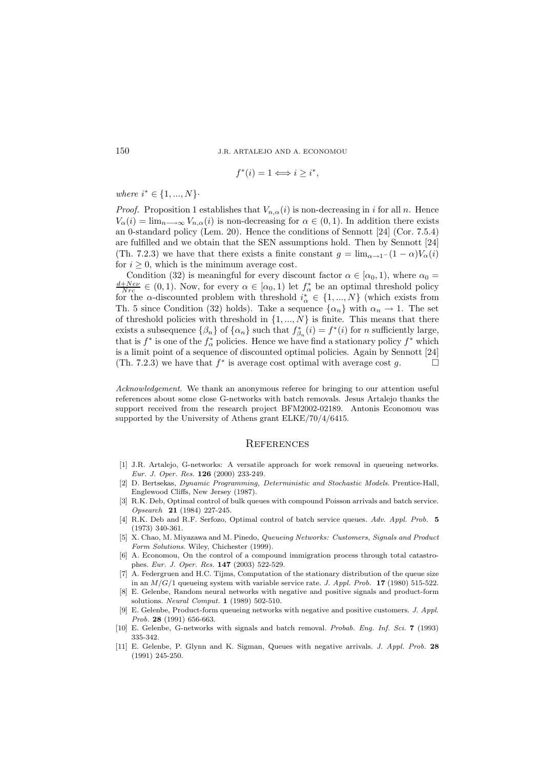$$
f^*(i) = 1 \Longleftrightarrow i \geq i^*,
$$

*where*  $i^* \in \{1, ..., N\}$ .

*Proof.* Proposition 1 establishes that  $V_{n,\alpha}(i)$  is non-decreasing in i for all n. Hence  $V_{\alpha}(i) = \lim_{n \to \infty} V_{n,\alpha}(i)$  is non-decreasing for  $\alpha \in (0,1)$ . In addition there exists an 0-standard policy (Lem. 20). Hence the conditions of Sennott [24] (Cor. 7.5.4) are fulfilled and we obtain that the SEN assumptions hold. Then by Sennott [24] (Th. 7.2.3) we have that there exists a finite constant  $g = \lim_{\alpha \to 1^-} (1 - \alpha) V_{\alpha}(i)$ for  $i \geq 0$ , which is the minimum average cost.

Condition (32) is meaningful for every discount factor  $\alpha \in [\alpha_0, 1)$ , where  $\alpha_0 = \frac{d + Ne\nu}{Nrc} \in (0, 1)$ . Now, for every  $\alpha \in [\alpha_0, 1)$  let  $f^*_{\alpha}$  be an optimal threshold policy for the  $\alpha$ -discounted problem with threshold  $i^*_{\alpha} \in \{1, ..., N\}$  (which exists from Th. 5 since Condition (32) holds). Take a sequence  $\{\alpha_n\}$  with  $\alpha_n \to 1$ . The set of threshold policies with threshold in  $\{1, ..., N\}$  is finite. This means that there exists a subsequence  $\{\beta_n\}$  of  $\{\alpha_n\}$  such that  $f_{\beta_n}^*(i) = f^*(i)$  for *n* sufficiently large, that is  $f^*$  is one of the  $f^*_{\alpha}$  policies. Hence we have find a stationary policy  $f^*$  which is a limit point of a sequence of discounted optimal policies. Again by Sennott [24] (Th. 7.2.3) we have that  $f^*$  is average cost optimal with average cost g.

*Acknowledgement.* We thank an anonymous referee for bringing to our attention useful references about some close G-networks with batch removals. Jesus Artalejo thanks the support received from the research project BFM2002-02189. Antonis Economou was supported by the University of Athens grant ELKE/70/4/6415.

#### **REFERENCES**

- [1] J.R. Artalejo, G-networks: A versatile approach for work removal in queueing networks. *Eur. J. Oper. Res.* **126** (2000) 233-249.
- [2] D. Bertsekas, *Dynamic Programming, Deterministic and Stochastic Models*. Prentice-Hall, Englewood Cliffs, New Jersey (1987).
- [3] R.K. Deb, Optimal control of bulk queues with compound Poisson arrivals and batch service. *Opsearch* **21** (1984) 227-245.
- [4] R.K. Deb and R.F. Serfozo, Optimal control of batch service queues. *Adv. Appl. Prob.* **5** (1973) 340-361.
- [5] X. Chao, M. Miyazawa and M. Pinedo, *Queueing Networks: Customers, Signals and Product Form Solutions*. Wiley, Chichester (1999).
- [6] A. Economou, On the control of a compound immigration process through total catastrophes. *Eur. J. Oper. Res.* **147** (2003) 522-529.
- [7] A. Federgruen and H.C. Tijms, Computation of the stationary distribution of the queue size in an *M/G/*1 queueing system with variable service rate. *J. Appl. Prob.* **17** (1980) 515-522.
- [8] E. Gelenbe, Random neural networks with negative and positive signals and product-form solutions. *Neural Comput.* **1** (1989) 502-510.
- [9] E. Gelenbe, Product-form queueing networks with negative and positive customers. *J. Appl. Prob.* **28** (1991) 656-663.
- [10] E. Gelenbe, G-networks with signals and batch removal. *Probab. Eng. Inf. Sci.* **7** (1993) 335-342.
- [11] E. Gelenbe, P. Glynn and K. Sigman, Queues with negative arrivals. *J. Appl. Prob.* **28** (1991) 245-250.